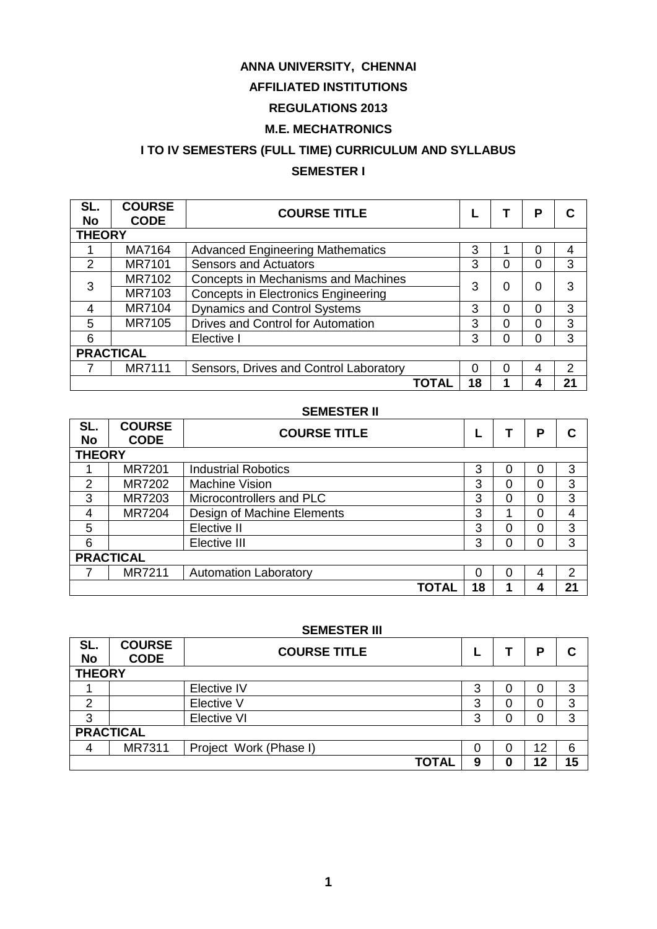#### **ANNA UNIVERSITY, CHENNAI**

# **AFFILIATED INSTITUTIONS**

# **REGULATIONS 2013**

### **M.E. MECHATRONICS**

# **I TO IV SEMESTERS (FULL TIME) CURRICULUM AND SYLLABUS**

# **SEMESTER I**

| SL.<br>No     | <b>COURSE</b><br><b>CODE</b> | <b>COURSE TITLE</b>                        |    |   | Р |    |
|---------------|------------------------------|--------------------------------------------|----|---|---|----|
|               | <b>THEORY</b>                |                                            |    |   |   |    |
|               | MA7164                       | <b>Advanced Engineering Mathematics</b>    | 3  |   | 0 | 4  |
| $\mathcal{P}$ | <b>MR7101</b>                | <b>Sensors and Actuators</b>               | 3  | 0 | 0 | 3  |
| 3             | MR7102                       | Concepts in Mechanisms and Machines        | 3  | ი | 0 | 3  |
|               | MR7103                       | <b>Concepts in Electronics Engineering</b> |    |   |   |    |
| 4             | MR7104                       | <b>Dynamics and Control Systems</b>        | 3  | Ω | 0 | 3  |
| 5             | MR7105                       | <b>Drives and Control for Automation</b>   | 3  | ი | 0 | 3  |
| 6             |                              | Elective I                                 | 3  | ი | 0 | 3  |
|               | <b>PRACTICAL</b>             |                                            |    |   |   |    |
|               | <b>MR7111</b>                | Sensors, Drives and Control Laboratory     | 0  |   | 4 | 2  |
|               |                              | TOTAL                                      | 18 |   | 4 | 21 |

#### **SEMESTER II**

| SL.<br><b>No</b> | <b>COURSE</b><br><b>CODE</b> | <b>COURSE TITLE</b>          |    |   | Р |    |  |
|------------------|------------------------------|------------------------------|----|---|---|----|--|
| <b>THEORY</b>    |                              |                              |    |   |   |    |  |
|                  | <b>MR7201</b>                | <b>Industrial Robotics</b>   | 3  |   | 0 | 3  |  |
| 2                | MR7202                       | <b>Machine Vision</b>        | 3  | ი | 0 | 3  |  |
| 3                | MR7203                       | Microcontrollers and PLC     | 3  | ი | 0 | 3  |  |
| $\overline{A}$   | <b>MR7204</b>                | Design of Machine Elements   | 3  |   | 0 | 4  |  |
| 5                |                              | Elective II                  | 3  | ი | 0 | 3  |  |
| 6                |                              | Elective III                 | 3  |   | 0 | 3  |  |
| <b>PRACTICAL</b> |                              |                              |    |   |   |    |  |
|                  | <b>MR7211</b>                | <b>Automation Laboratory</b> | 0  | U | 4 | 2  |  |
|                  |                              | <b>TOTAL</b>                 | 18 |   | 4 | 21 |  |

#### **SEMESTER III**

| SL.<br><b>No</b> | <b>COURSE</b><br><b>CODE</b> | <b>COURSE TITLE</b>    |   |   | P  |    |
|------------------|------------------------------|------------------------|---|---|----|----|
| <b>THEORY</b>    |                              |                        |   |   |    |    |
|                  |                              | Elective IV            | ≏ | 0 | 0  | 3  |
| 2                |                              | Elective V             | 3 | 0 | 0  | 3  |
| 3                |                              | Elective VI            | 3 | ი | 0  | 3  |
|                  | <b>PRACTICAL</b>             |                        |   |   |    |    |
| 4                | MR7311                       | Project Work (Phase I) |   | 0 | 12 | 6  |
|                  |                              | <b>TOTAL</b>           | 9 | 0 | 12 | 15 |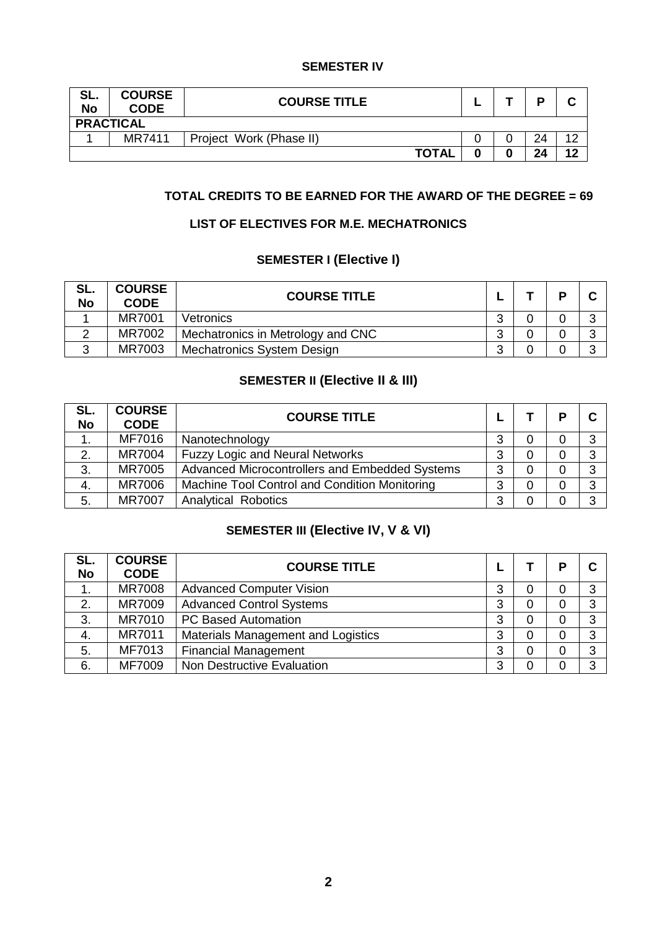#### **SEMESTER IV**

| SL.<br><b>No</b> | <b>COURSE</b><br><b>CODE</b> | <b>COURSE TITLE</b>     |  | D  |    |
|------------------|------------------------------|-------------------------|--|----|----|
|                  | <b>PRACTICAL</b>             |                         |  |    |    |
|                  | MR7411                       | Project Work (Phase II) |  | 24 |    |
|                  |                              | <b>TOTAL</b>            |  | 24 | 10 |

### **TOTAL CREDITS TO BE EARNED FOR THE AWARD OF THE DEGREE = 69**

#### **LIST OF ELECTIVES FOR M.E. MECHATRONICS**

### **SEMESTER I (Elective I)**

| SL.<br><b>No</b> | <b>COURSE</b><br><b>CODE</b> | <b>COURSE TITLE</b>               |   | D |  |
|------------------|------------------------------|-----------------------------------|---|---|--|
|                  | <b>MR7001</b>                | Vetronics                         | ◠ |   |  |
|                  | MR7002                       | Mechatronics in Metrology and CNC | ⌒ |   |  |
|                  | MR7003                       | <b>Mechatronics System Design</b> | ⌒ |   |  |

## **SEMESTER II (Elective II & III)**

| SL.<br><b>No</b> | <b>COURSE</b><br><b>CODE</b> | <b>COURSE TITLE</b>                            |   |   | D |   |
|------------------|------------------------------|------------------------------------------------|---|---|---|---|
| 1.               | MF7016                       | Nanotechnology                                 | 3 | 0 | 0 | 3 |
| 2.               | <b>MR7004</b>                | <b>Fuzzy Logic and Neural Networks</b>         | 3 | 0 | 0 | 3 |
| 3.               | <b>MR7005</b>                | Advanced Microcontrollers and Embedded Systems | 3 | 0 | 0 | 3 |
| 4.               | <b>MR7006</b>                | Machine Tool Control and Condition Monitoring  | 3 | 0 | 0 | 3 |
| 5.               | <b>MR7007</b>                | <b>Analytical Robotics</b>                     | 3 | 0 | 0 | 3 |

# **SEMESTER III (Elective IV, V & VI)**

| SL.<br><b>No</b> | <b>COURSE</b><br><b>CODE</b> | <b>COURSE TITLE</b>                |   |   | Р |   |
|------------------|------------------------------|------------------------------------|---|---|---|---|
|                  | <b>MR7008</b>                | <b>Advanced Computer Vision</b>    | 3 | 0 | 0 | 3 |
| 2.               | MR7009                       | <b>Advanced Control Systems</b>    | 3 | 0 | 0 | 3 |
| 3.               | MR7010                       | <b>PC Based Automation</b>         | 3 | 0 | 0 | 3 |
| 4.               | MR7011                       | Materials Management and Logistics | 3 | 0 | 0 | 3 |
| 5.               | MF7013                       | <b>Financial Management</b>        | 3 | 0 | 0 | 3 |
| 6.               | MF7009                       | <b>Non Destructive Evaluation</b>  | 3 | 0 | 0 | 3 |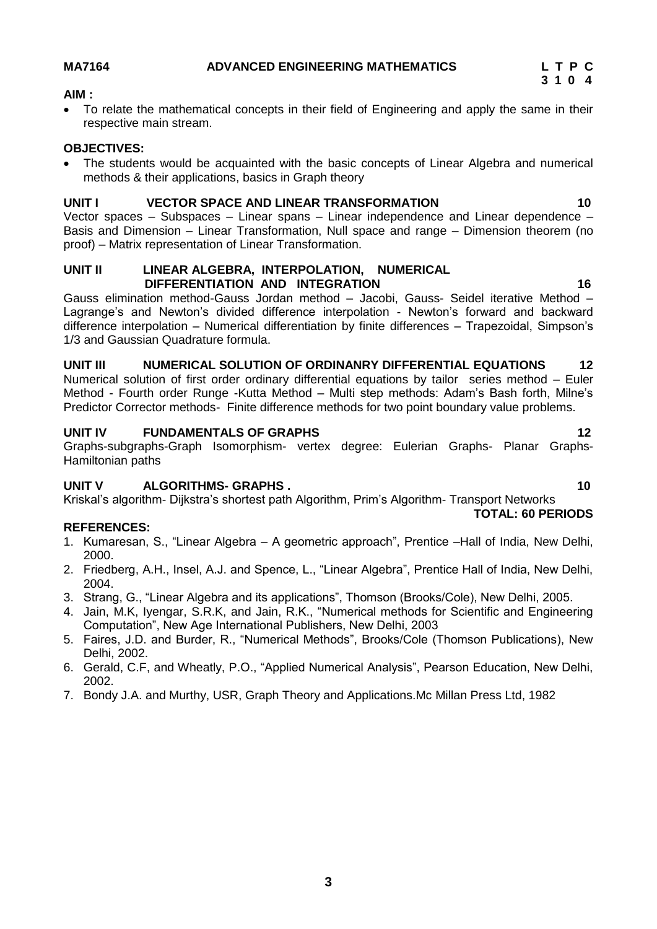**3 1 0 4**

#### **AIM :**

 To relate the mathematical concepts in their field of Engineering and apply the same in their respective main stream.

#### **OBJECTIVES:**

 The students would be acquainted with the basic concepts of Linear Algebra and numerical methods & their applications, basics in Graph theory

### **UNIT I VECTOR SPACE AND LINEAR TRANSFORMATION 10**

Vector spaces – Subspaces – Linear spans – Linear independence and Linear dependence – Basis and Dimension – Linear Transformation, Null space and range – Dimension theorem (no proof) – Matrix representation of Linear Transformation.

#### **UNIT II LINEAR ALGEBRA, INTERPOLATION, NUMERICAL DIFFERENTIATION AND INTEGRATION 16**

Gauss elimination method-Gauss Jordan method – Jacobi, Gauss- Seidel iterative Method – Lagrange's and Newton's divided difference interpolation - Newton's forward and backward difference interpolation – Numerical differentiation by finite differences – Trapezoidal, Simpson's 1/3 and Gaussian Quadrature formula.

# **UNIT III NUMERICAL SOLUTION OF ORDINANRY DIFFERENTIAL EQUATIONS 12**

Numerical solution of first order ordinary differential equations by tailor series method – Euler Method - Fourth order Runge -Kutta Method – Multi step methods: Adam's Bash forth, Milne's Predictor Corrector methods- Finite difference methods for two point boundary value problems.

#### **UNIT IV FUNDAMENTALS OF GRAPHS 12**

Graphs-subgraphs-Graph Isomorphism- vertex degree: Eulerian Graphs- Planar Graphs-Hamiltonian paths

#### **UNIT V** ALGORITHMS- GRAPHS . 10

Kriskal's algorithm- Dijkstra's shortest path Algorithm, Prim's Algorithm- Transport Networks

#### **REFERENCES:**

- 1. Kumaresan, S., "Linear Algebra A geometric approach", Prentice –Hall of India, New Delhi, 2000.
- 2. Friedberg, A.H., Insel, A.J. and Spence, L., "Linear Algebra", Prentice Hall of India, New Delhi, 2004.
- 3. Strang, G., "Linear Algebra and its applications", Thomson (Brooks/Cole), New Delhi, 2005.
- 4. Jain, M.K, Iyengar, S.R.K, and Jain, R.K., "Numerical methods for Scientific and Engineering Computation", New Age International Publishers, New Delhi, 2003
- 5. Faires, J.D. and Burder, R., "Numerical Methods", Brooks/Cole (Thomson Publications), New Delhi, 2002.
- 6. Gerald, C.F, and Wheatly, P.O., "Applied Numerical Analysis", Pearson Education, New Delhi, 2002.
- 7. Bondy J.A. and Murthy, USR, Graph Theory and Applications.Mc Millan Press Ltd, 1982

**TOTAL: 60 PERIODS**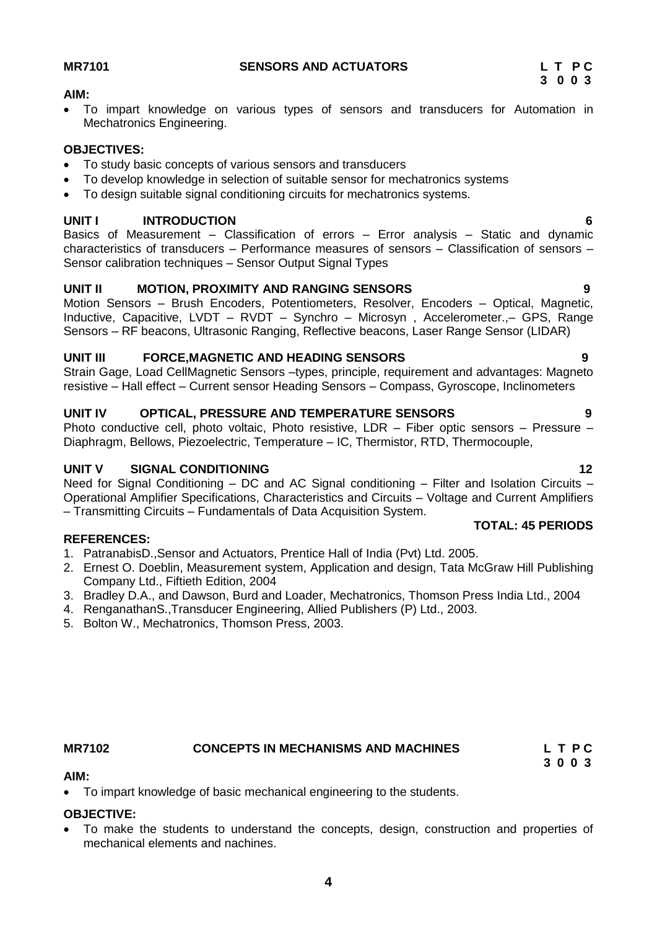### **MR7101 SENSORS AND ACTUATORS L T P C**

#### **AIM:**

 To impart knowledge on various types of sensors and transducers for Automation in Mechatronics Engineering.

#### **OBJECTIVES:**

- To study basic concepts of various sensors and transducers
- To develop knowledge in selection of suitable sensor for mechatronics systems
- To design suitable signal conditioning circuits for mechatronics systems.

#### **UNIT I INTRODUCTION 6**

Basics of Measurement – Classification of errors – Error analysis – Static and dynamic characteristics of transducers – Performance measures of sensors – Classification of sensors – Sensor calibration techniques – Sensor Output Signal Types

### **UNIT II MOTION, PROXIMITY AND RANGING SENSORS 9**

Motion Sensors – Brush Encoders, Potentiometers, Resolver, Encoders – Optical, Magnetic, Inductive, Capacitive, LVDT – RVDT – Synchro – Microsyn , Accelerometer.,– GPS, Range Sensors – RF beacons, Ultrasonic Ranging, Reflective beacons, Laser Range Sensor (LIDAR)

#### **UNIT III FORCE,MAGNETIC AND HEADING SENSORS 9**

Strain Gage, Load CellMagnetic Sensors –types, principle, requirement and advantages: Magneto resistive – Hall effect – Current sensor Heading Sensors – Compass, Gyroscope, Inclinometers

#### **UNIT IV OPTICAL, PRESSURE AND TEMPERATURE SENSORS 9**

Photo conductive cell, photo voltaic, Photo resistive, LDR - Fiber optic sensors - Pressure -Diaphragm, Bellows, Piezoelectric, Temperature – IC, Thermistor, RTD, Thermocouple,

### **UNIT V SIGNAL CONDITIONING 12**

Need for Signal Conditioning – DC and AC Signal conditioning – Filter and Isolation Circuits – Operational Amplifier Specifications, Characteristics and Circuits – Voltage and Current Amplifiers – Transmitting Circuits – Fundamentals of Data Acquisition System.

#### **REFERENCES:**

- 1. PatranabisD.,Sensor and Actuators, Prentice Hall of India (Pvt) Ltd. 2005.
- 2. Ernest O. Doeblin, Measurement system, Application and design, Tata McGraw Hill Publishing Company Ltd., Fiftieth Edition, 2004
- 3. Bradley D.A., and Dawson, Burd and Loader, Mechatronics, Thomson Press India Ltd., 2004
- 4. RenganathanS.,Transducer Engineering, Allied Publishers (P) Ltd., 2003.
- 5. Bolton W., Mechatronics, Thomson Press, 2003.

# **AIM:**

To impart knowledge of basic mechanical engineering to the students.

#### **OBJECTIVE:**

 To make the students to understand the concepts, design, construction and properties of mechanical elements and nachines.

### **TOTAL: 45 PERIODS**

# **MR7102 CONCEPTS IN MECHANISMS AND MACHINES L T P C 3 0 0 3**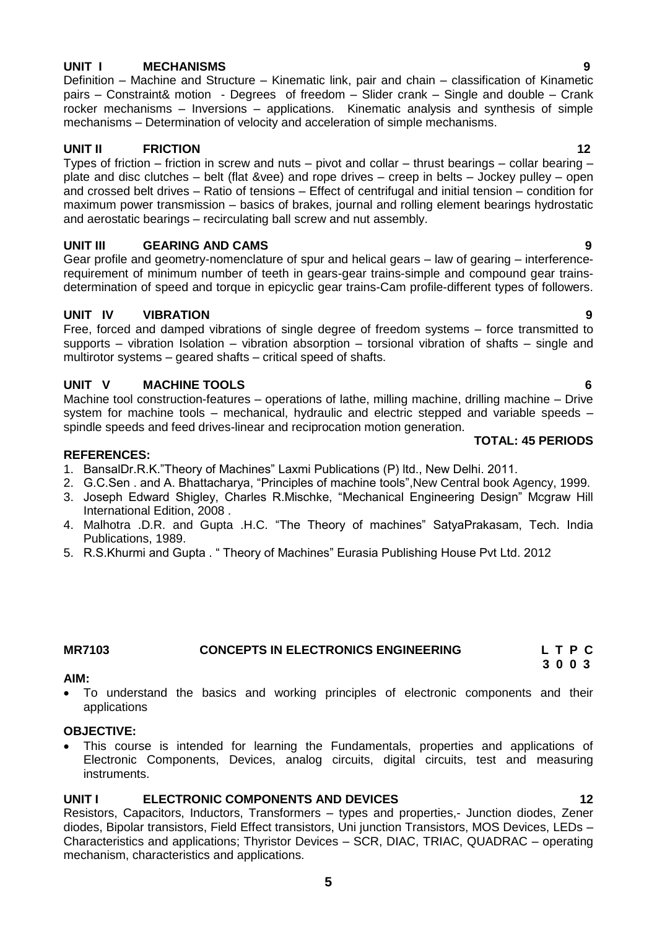# **UNIT I MECHANISMS 9**

Definition – Machine and Structure – Kinematic link, pair and chain – classification of Kinametic pairs – Constraint& motion - Degrees of freedom – Slider crank – Single and double – Crank rocker mechanisms – Inversions – applications. Kinematic analysis and synthesis of simple mechanisms – Determination of velocity and acceleration of simple mechanisms.

### **UNIT II FRICTION 12**

Types of friction – friction in screw and nuts – pivot and collar – thrust bearings – collar bearing – plate and disc clutches – belt (flat &vee) and rope drives – creep in belts – Jockey pulley – open and crossed belt drives – Ratio of tensions – Effect of centrifugal and initial tension – condition for maximum power transmission – basics of brakes, journal and rolling element bearings hydrostatic and aerostatic bearings – recirculating ball screw and nut assembly.

## **UNIT III GEARING AND CAMS** 9

Gear profile and geometry-nomenclature of spur and helical gears – law of gearing – interferencerequirement of minimum number of teeth in gears-gear trains-simple and compound gear trainsdetermination of speed and torque in epicyclic gear trains-Cam profile-different types of followers.

## **UNIT IV VIBRATION 9**

Free, forced and damped vibrations of single degree of freedom systems – force transmitted to supports – vibration Isolation – vibration absorption – torsional vibration of shafts – single and multirotor systems – geared shafts – critical speed of shafts.

## **UNIT V MACHINE TOOLS 6**

Machine tool construction-features – operations of lathe, milling machine, drilling machine – Drive system for machine tools – mechanical, hydraulic and electric stepped and variable speeds – spindle speeds and feed drives-linear and reciprocation motion generation.

# **REFERENCES:**

- 1. BansalDr.R.K."Theory of Machines" Laxmi Publications (P) ltd., New Delhi. 2011.
- 2. G.C.Sen . and A. Bhattacharya, "Principles of machine tools",New Central book Agency, 1999.
- 3. Joseph Edward Shigley, Charles R.Mischke, "Mechanical Engineering Design" Mcgraw Hill International Edition, 2008 .
- 4. Malhotra .D.R. and Gupta .H.C. "The Theory of machines" SatyaPrakasam, Tech. India Publications, 1989.
- 5. R.S.Khurmi and Gupta . " Theory of Machines" Eurasia Publishing House Pvt Ltd. 2012

### **AIM:**

 To understand the basics and working principles of electronic components and their applications

# **OBJECTIVE:**

 This course is intended for learning the Fundamentals, properties and applications of Electronic Components, Devices, analog circuits, digital circuits, test and measuring instruments.

# **UNIT I ELECTRONIC COMPONENTS AND DEVICES 12**

Resistors, Capacitors, Inductors, Transformers – types and properties,- Junction diodes, Zener diodes, Bipolar transistors, Field Effect transistors, Uni junction Transistors, MOS Devices, LEDs – Characteristics and applications; Thyristor Devices – SCR, DIAC, TRIAC, QUADRAC – operating mechanism, characteristics and applications.

 **TOTAL: 45 PERIODS**

#### <span id="page-4-0"></span>**MR7103 CONCEPTS IN ELECTRONICS ENGINEERING L T P C 3 0 0 3**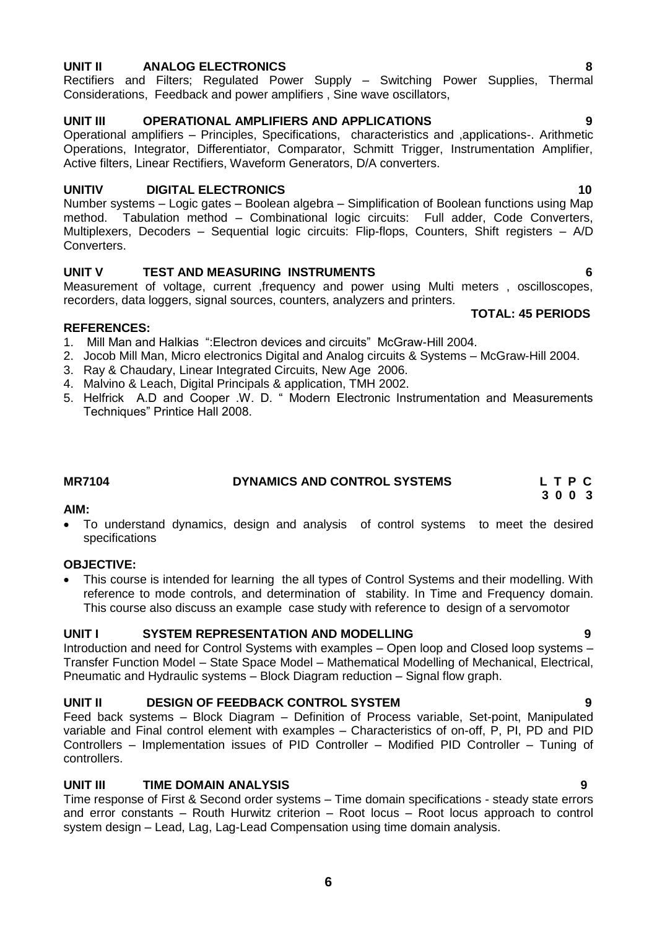### **UNIT II ANALOG ELECTRONICS 8**

Rectifiers and Filters; Regulated Power Supply – Switching Power Supplies, Thermal Considerations, Feedback and power amplifiers , Sine wave oscillators,

#### **UNIT III OPERATIONAL AMPLIFIERS AND APPLICATIONS 9**

Operational amplifiers – Principles, Specifications, characteristics and ,applications-. Arithmetic Operations, Integrator, Differentiator, Comparator, Schmitt Trigger, Instrumentation Amplifier, Active filters, Linear Rectifiers, Waveform Generators, D/A converters.

#### **UNITIV DIGITAL ELECTRONICS 10**

Number systems – Logic gates – Boolean algebra – Simplification of Boolean functions using Map method. Tabulation method – Combinational logic circuits: Full adder, Code Converters, Multiplexers, Decoders – Sequential logic circuits: Flip-flops, Counters, Shift registers – A/D Converters.

#### **UNIT V TEST AND MEASURING INSTRUMENTS 6**

Measurement of voltage, current ,frequency and power using Multi meters , oscilloscopes, recorders, data loggers, signal sources, counters, analyzers and printers.

#### **REFERENCES:**

- 1. Mill Man and Halkias ":Electron devices and circuits" McGraw-Hill 2004.
- 2. Jocob Mill Man, Micro electronics Digital and Analog circuits & Systems McGraw-Hill 2004.
- 3. Ray & Chaudary, Linear Integrated Circuits, New Age 2006.
- 4. Malvino & Leach, Digital Principals & application, TMH 2002.
- 5. Helfrick A.D and Cooper .W. D. " Modern Electronic Instrumentation and Measurements Techniques" Printice Hall 2008.

### **MR7104 DYNAMICS AND CONTROL SYSTEMS L T P C**

#### **AIM:**

 To understand dynamics, design and analysis of control systems to meet the desired specifications

#### **OBJECTIVE:**

 This course is intended for learning the all types of Control Systems and their modelling. With reference to mode controls, and determination of stability. In Time and Frequency domain. This course also discuss an example case study with reference to design of a servomotor

#### **UNIT I SYSTEM REPRESENTATION AND MODELLING 9**

Introduction and need for Control Systems with examples – Open loop and Closed loop systems – Transfer Function Model – State Space Model – Mathematical Modelling of Mechanical, Electrical, Pneumatic and Hydraulic systems – Block Diagram reduction – Signal flow graph.

#### **UNIT II DESIGN OF FEEDBACK CONTROL SYSTEM 9**

Feed back systems – Block Diagram – Definition of Process variable, Set-point, Manipulated variable and Final control element with examples – Characteristics of on-off, P, PI, PD and PID Controllers – Implementation issues of PID Controller – Modified PID Controller – Tuning of controllers.

#### **UNIT III TIME DOMAIN ANALYSIS 9**

Time response of First & Second order systems – Time domain specifications - steady state errors and error constants – Routh Hurwitz criterion – Root locus – Root locus approach to control system design – Lead, Lag, Lag-Lead Compensation using time domain analysis.

#### **TOTAL: 45 PERIODS**

# **3 0 0 3**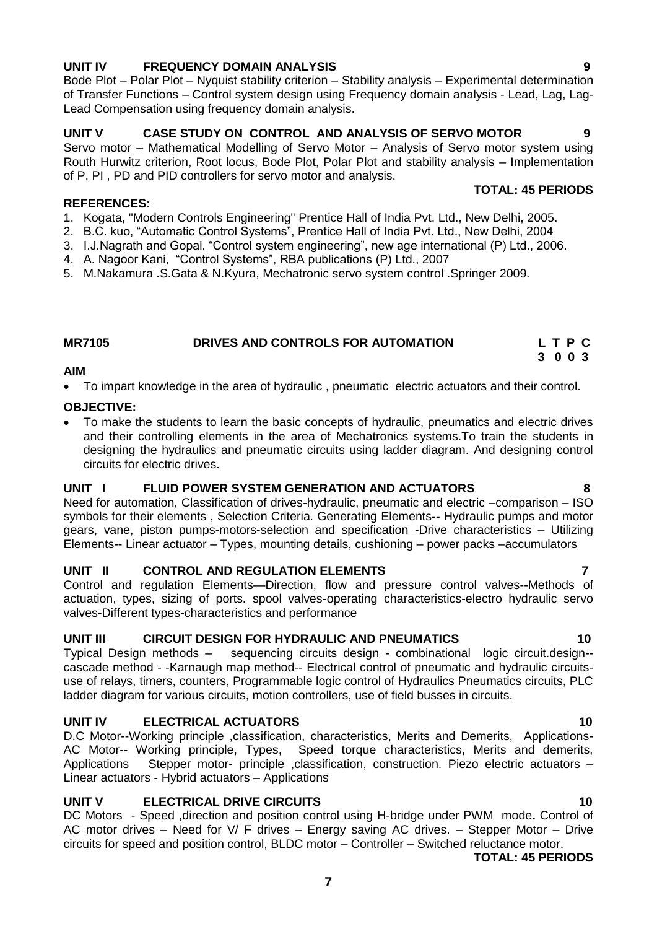### **UNIT IV FREQUENCY DOMAIN ANALYSIS 9**

Bode Plot – Polar Plot – Nyquist stability criterion – Stability analysis – Experimental determination of Transfer Functions – Control system design using Frequency domain analysis - Lead, Lag, Lag-Lead Compensation using frequency domain analysis.

## **UNIT V CASE STUDY ON CONTROL AND ANALYSIS OF SERVO MOTOR 9**

Servo motor – Mathematical Modelling of Servo Motor – Analysis of Servo motor system using Routh Hurwitz criterion, Root locus, Bode Plot, Polar Plot and stability analysis – Implementation of P, PI , PD and PID controllers for servo motor and analysis. **TOTAL: 45 PERIODS**

#### **REFERENCES:**

- 1. Kogata, "Modern Controls Engineering" Prentice Hall of India Pvt. Ltd., New Delhi, 2005.
- 2. B.C. kuo, "Automatic Control Systems", Prentice Hall of India Pvt. Ltd., New Delhi, 2004
- 3. I.J.Nagrath and Gopal. "Control system engineering", new age international (P) Ltd., 2006.
- 4. A. Nagoor Kani, "Control Systems", RBA publications (P) Ltd., 2007
- 5. M.Nakamura .S.Gata & N.Kyura, Mechatronic servo system control .Springer 2009.

### **MR7105 DRIVES AND CONTROLS FOR AUTOMATION L T P C**

#### **AIM**

To impart knowledge in the area of hydraulic , pneumatic electric actuators and their control.

### **OBJECTIVE:**

 To make the students to learn the basic concepts of hydraulic, pneumatics and electric drives and their controlling elements in the area of Mechatronics systems.To train the students in designing the hydraulics and pneumatic circuits using ladder diagram. And designing control circuits for electric drives.

#### **UNIT I FLUID POWER SYSTEM GENERATION AND ACTUATORS 8**

Need for automation, Classification of drives-hydraulic, pneumatic and electric –comparison – ISO symbols for their elements , Selection Criteria. Generating Elements**--** Hydraulic pumps and motor gears, vane, piston pumps-motors-selection and specification -Drive characteristics – Utilizing Elements-- Linear actuator – Types, mounting details, cushioning – power packs –accumulators

### **UNIT II CONTROL AND REGULATION ELEMENTS 7**

Control and regulation Elements—Direction, flow and pressure control valves--Methods of actuation, types, sizing of ports. spool valves-operating characteristics-electro hydraulic servo valves-Different types-characteristics and performance

### **UNIT III CIRCUIT DESIGN FOR HYDRAULIC AND PNEUMATICS 10**

Typical Design methods – sequencing circuits design - combinational logic circuit.design- cascade method - -Karnaugh map method-- Electrical control of pneumatic and hydraulic circuitsuse of relays, timers, counters, Programmable logic control of Hydraulics Pneumatics circuits, PLC ladder diagram for various circuits, motion controllers, use of field busses in circuits.

### **UNIT IV ELECTRICAL ACTUATORS 10**

D.C Motor--Working principle ,classification, characteristics, Merits and Demerits, Applications-AC Motor-- Working principle, Types, Speed torque characteristics, Merits and demerits, Applications Stepper motor- principle ,classification, construction. Piezo electric actuators – Linear actuators - Hybrid actuators – Applications

### **UNIT V ELECTRICAL DRIVE CIRCUITS 40**

DC Motors - Speed ,direction and position control using H-bridge under PWM mode**.** Control of AC motor drives – Need for V/ F drives – Energy saving AC drives. – Stepper Motor – Drive circuits for speed and position control, BLDC motor – Controller – Switched reluctance motor.

#### **TOTAL: 45 PERIODS**

 **3 0 0 3**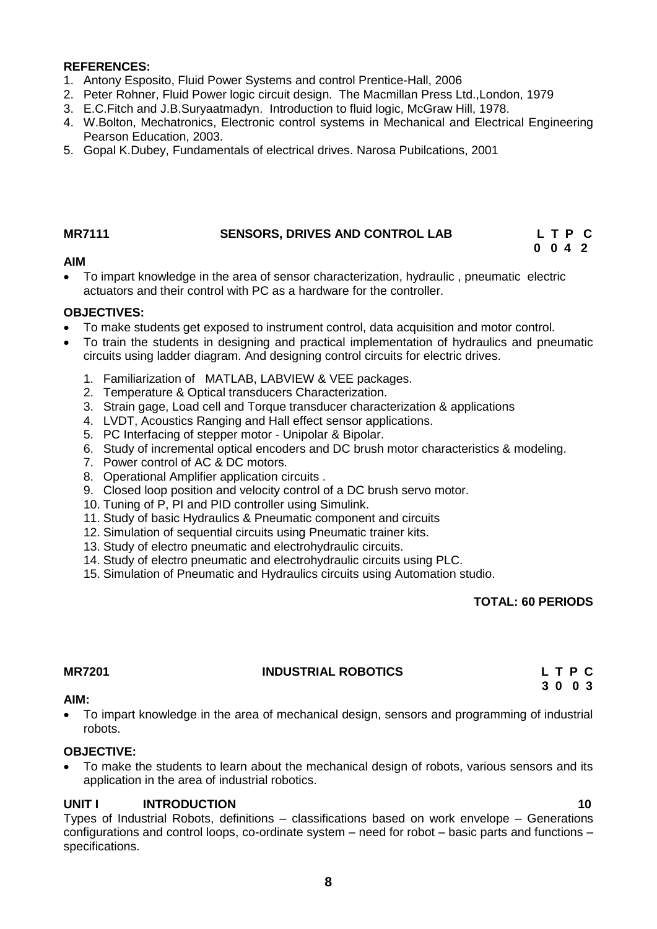#### **REFERENCES:**

- 1. Antony Esposito, Fluid Power Systems and control Prentice-Hall, 2006
- 2. Peter Rohner, Fluid Power logic circuit design. The Macmillan Press Ltd.,London, 1979
- 3. E.C.Fitch and J.B.Suryaatmadyn. Introduction to fluid logic, McGraw Hill, 1978.
- 4. W.Bolton, Mechatronics, Electronic control systems in Mechanical and Electrical Engineering Pearson Education, 2003.
- 5. Gopal K.Dubey, Fundamentals of electrical drives. Narosa Pubilcations, 2001

#### **MR7111 SENSORS, DRIVES AND CONTROL LAB L T P C**

# **0 0 4 2**

### **AIM**

 To impart knowledge in the area of sensor characterization, hydraulic , pneumatic electric actuators and their control with PC as a hardware for the controller.

#### **OBJECTIVES:**

- To make students get exposed to instrument control, data acquisition and motor control.
- To train the students in designing and practical implementation of hydraulics and pneumatic circuits using ladder diagram. And designing control circuits for electric drives.
	- 1. Familiarization of MATLAB, LABVIEW & VEE packages.
	- 2. Temperature & Optical transducers Characterization.
	- 3. Strain gage, Load cell and Torque transducer characterization & applications
	- 4. LVDT, Acoustics Ranging and Hall effect sensor applications.
	- 5. PC Interfacing of stepper motor Unipolar & Bipolar.
	- 6. Study of incremental optical encoders and DC brush motor characteristics & modeling.
	- 7. Power control of AC & DC motors.
	- 8. Operational Amplifier application circuits .
	- 9. Closed loop position and velocity control of a DC brush servo motor.
	- 10. Tuning of P, PI and PID controller using Simulink.
	- 11. Study of basic Hydraulics & Pneumatic component and circuits
	- 12. Simulation of sequential circuits using Pneumatic trainer kits.
	- 13. Study of electro pneumatic and electrohydraulic circuits.
	- 14. Study of electro pneumatic and electrohydraulic circuits using PLC.
	- 15. Simulation of Pneumatic and Hydraulics circuits using Automation studio.

#### **TOTAL: 60 PERIODS**

### **MR7201 INDUSTRIAL ROBOTICS L T P C**

 **3 0 0 3**

#### **AIM:**

 To impart knowledge in the area of mechanical design, sensors and programming of industrial robots.

#### **OBJECTIVE:**

 To make the students to learn about the mechanical design of robots, various sensors and its application in the area of industrial robotics.

#### **UNIT I INTRODUCTION 10**

Types of Industrial Robots, definitions – classifications based on work envelope – Generations configurations and control loops, co-ordinate system – need for robot – basic parts and functions – specifications.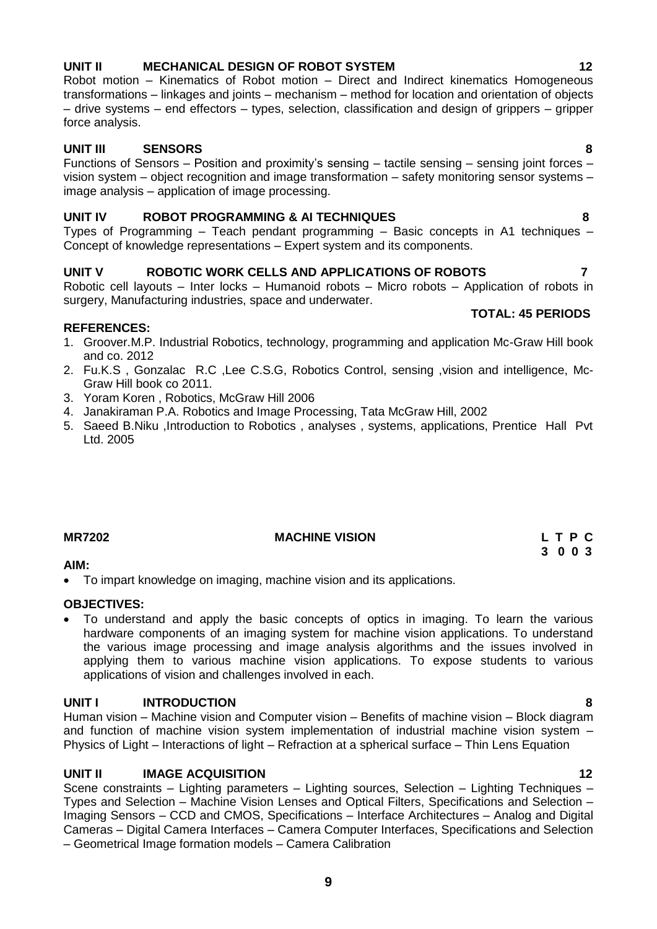# **UNIT II MECHANICAL DESIGN OF ROBOT SYSTEM 12**

Robot motion – Kinematics of Robot motion – Direct and Indirect kinematics Homogeneous transformations – linkages and joints – mechanism – method for location and orientation of objects – drive systems – end effectors – types, selection, classification and design of grippers – gripper force analysis.

# **UNIT III SENSORS 8**

Functions of Sensors – Position and proximity's sensing – tactile sensing – sensing joint forces – vision system – object recognition and image transformation – safety monitoring sensor systems – image analysis – application of image processing.

# **UNIT IV ROBOT PROGRAMMING & AI TECHNIQUES 8**

Types of Programming – Teach pendant programming – Basic concepts in A1 techniques – Concept of knowledge representations – Expert system and its components.

# **UNIT V ROBOTIC WORK CELLS AND APPLICATIONS OF ROBOTS 7**

Robotic cell layouts – Inter locks – Humanoid robots – Micro robots – Application of robots in surgery, Manufacturing industries, space and underwater.

# **REFERENCES:**

- 1. Groover.M.P. Industrial Robotics, technology, programming and application Mc-Graw Hill book and co. 2012
- 2. Fu.K.S , Gonzalac R.C ,Lee C.S.G, Robotics Control, sensing ,vision and intelligence, Mc-Graw Hill book co 2011.
- 3. Yoram Koren , Robotics, McGraw Hill 2006
- 4. Janakiraman P.A. Robotics and Image Processing, Tata McGraw Hill, 2002
- 5. Saeed B.Niku ,Introduction to Robotics , analyses , systems, applications, Prentice Hall Pvt Ltd. 2005

# **AIM:**

To impart knowledge on imaging, machine vision and its applications.

# **OBJECTIVES:**

 To understand and apply the basic concepts of optics in imaging. To learn the various hardware components of an imaging system for machine vision applications. To understand the various image processing and image analysis algorithms and the issues involved in applying them to various machine vision applications. To expose students to various applications of vision and challenges involved in each.

# **UNIT I INTRODUCTION 8**

Human vision – Machine vision and Computer vision – Benefits of machine vision – Block diagram and function of machine vision system implementation of industrial machine vision system – Physics of Light – Interactions of light – Refraction at a spherical surface – Thin Lens Equation

# **UNIT II IMAGE ACQUISITION 12**

Scene constraints – Lighting parameters – Lighting sources, Selection – Lighting Techniques – Types and Selection – Machine Vision Lenses and Optical Filters, Specifications and Selection – Imaging Sensors – CCD and CMOS, Specifications – Interface Architectures – Analog and Digital Cameras – Digital Camera Interfaces – Camera Computer Interfaces, Specifications and Selection – Geometrical Image formation models – Camera Calibration

#### **TOTAL: 45 PERIODS**

# **MR7202** MACHINE VISION L T P C  **3 0 0 3**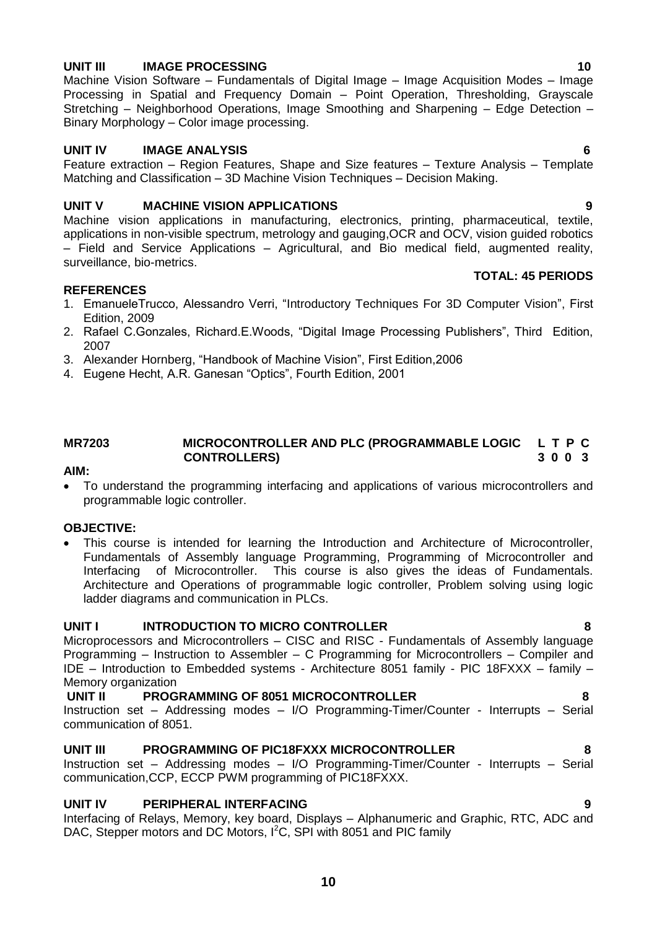#### **UNIT III IMAGE PROCESSING 10**

Machine Vision Software – Fundamentals of Digital Image – Image Acquisition Modes – Image Processing in Spatial and Frequency Domain - Point Operation, Thresholding, Gravscale Stretching – Neighborhood Operations, Image Smoothing and Sharpening – Edge Detection – Binary Morphology – Color image processing.

#### **UNIT IV IMAGE ANALYSIS 6**

Feature extraction – Region Features, Shape and Size features – Texture Analysis – Template Matching and Classification – 3D Machine Vision Techniques – Decision Making.

#### **UNIT V MACHINE VISION APPLICATIONS 9**

Machine vision applications in manufacturing, electronics, printing, pharmaceutical, textile, applications in non-visible spectrum, metrology and gauging,OCR and OCV, vision guided robotics – Field and Service Applications – Agricultural, and Bio medical field, augmented reality, surveillance, bio-metrics.

#### **REFERENCES**

- 1. EmanueleTrucco, Alessandro Verri, "Introductory Techniques For 3D Computer Vision", First Edition, 2009
- 2. Rafael C.Gonzales, Richard.E.Woods, "Digital Image Processing Publishers", Third Edition, 2007
- 3. Alexander Hornberg, "Handbook of Machine Vision", First Edition,2006
- 4. Eugene Hecht, A.R. Ganesan "Optics", Fourth Edition, 2001

#### **MR7203 MICROCONTROLLER AND PLC (PROGRAMMABLE LOGIC L T P C CONTROLLERS) 3 0 0 3**

#### **AIM:**

 To understand the programming interfacing and applications of various microcontrollers and programmable logic controller.

#### **OBJECTIVE:**

 This course is intended for learning the Introduction and Architecture of Microcontroller, Fundamentals of Assembly language Programming, Programming of Microcontroller and Interfacing of Microcontroller. This course is also gives the ideas of Fundamentals. Architecture and Operations of programmable logic controller, Problem solving using logic ladder diagrams and communication in PLCs.

#### **UNIT I INTRODUCTION TO MICRO CONTROLLER 8**

Microprocessors and Microcontrollers – CISC and RISC - Fundamentals of Assembly language Programming – Instruction to Assembler – C Programming for Microcontrollers – Compiler and IDE – Introduction to Embedded systems - Architecture 8051 family - PIC 18FXXX – family – Memory organization

#### **UNIT II PROGRAMMING OF 8051 MICROCONTROLLER 8**

Instruction set – Addressing modes – I/O Programming-Timer/Counter - Interrupts – Serial communication of 8051.

#### **UNIT III PROGRAMMING OF PIC18FXXX MICROCONTROLLER 8**

Instruction set – Addressing modes – I/O Programming-Timer/Counter - Interrupts – Serial communication,CCP, ECCP PWM programming of PIC18FXXX.

#### **UNIT IV PERIPHERAL INTERFACING 9**

Interfacing of Relays, Memory, key board, Displays – Alphanumeric and Graphic, RTC, ADC and DAC, Stepper motors and DC Motors, I<sup>2</sup>C, SPI with 8051 and PIC family

**10**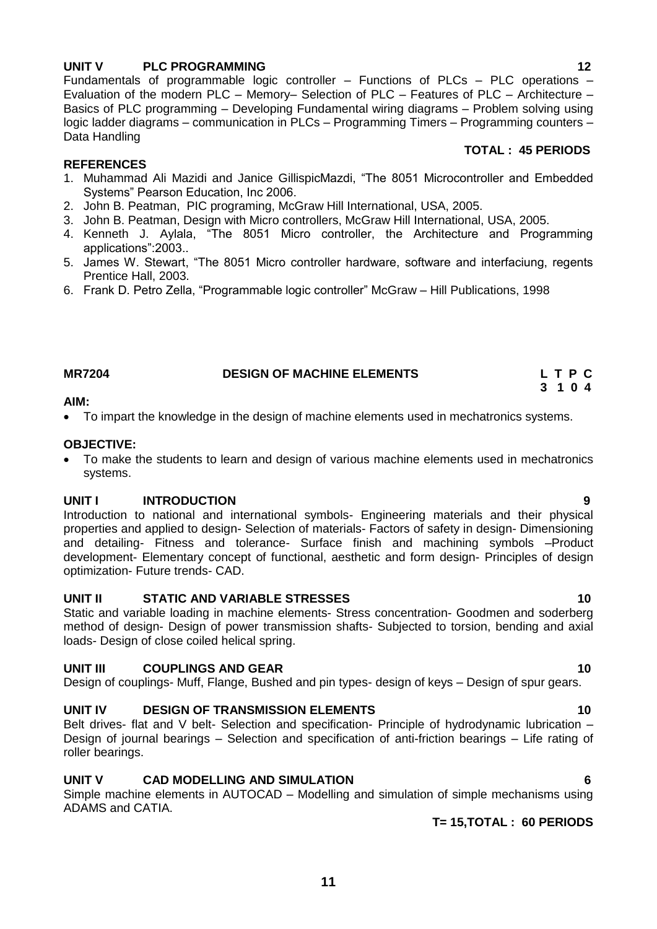# **UNIT V PLC PROGRAMMING** 12

Fundamentals of programmable logic controller  $-$  Functions of PLCs  $-$  PLC operations  $-$ Evaluation of the modern PLC – Memory– Selection of PLC – Features of PLC – Architecture – Basics of PLC programming – Developing Fundamental wiring diagrams – Problem solving using logic ladder diagrams – communication in PLCs – Programming Timers – Programming counters – Data Handling

#### **REFERENCES**

- 1. Muhammad Ali Mazidi and Janice GillispicMazdi, "The 8051 Microcontroller and Embedded Systems" Pearson Education, Inc 2006.
- 2. John B. Peatman, PIC programing, McGraw Hill International, USA, 2005.
- 3. John B. Peatman, Design with Micro controllers, McGraw Hill International, USA, 2005.
- 4. Kenneth J. Aylala, "The 8051 Micro controller, the Architecture and Programming applications":2003..
- 5. James W. Stewart, "The 8051 Micro controller hardware, software and interfaciung, regents Prentice Hall, 2003.
- 6. Frank D. Petro Zella, "Programmable logic controller" McGraw Hill Publications, 1998

#### **MR7204 DESIGN OF MACHINE ELEMENTS L T P C**

#### **AIM:**

• To impart the knowledge in the design of machine elements used in mechatronics systems.

#### **OBJECTIVE:**

 To make the students to learn and design of various machine elements used in mechatronics systems.

#### **UNIT I INTRODUCTION 9**

Introduction to national and international symbols- Engineering materials and their physical properties and applied to design- Selection of materials- Factors of safety in design- Dimensioning and detailing- Fitness and tolerance- Surface finish and machining symbols –Product development- Elementary concept of functional, aesthetic and form design- Principles of design optimization- Future trends- CAD.

### **UNIT II STATIC AND VARIABLE STRESSES 10**

Static and variable loading in machine elements- Stress concentration- Goodmen and soderberg method of design- Design of power transmission shafts- Subjected to torsion, bending and axial loads- Design of close coiled helical spring.

### **UNIT III** COUPLINGS AND GEAR 10

Design of couplings- Muff, Flange, Bushed and pin types- design of keys – Design of spur gears.

### UNIT IV DESIGN OF TRANSMISSION ELEMENTS 10

Belt drives- flat and V belt- Selection and specification- Principle of hydrodynamic lubrication -Design of journal bearings – Selection and specification of anti-friction bearings – Life rating of roller bearings.

### **UNIT V CAD MODELLING AND SIMULATION 6**

Simple machine elements in AUTOCAD – Modelling and simulation of simple mechanisms using ADAMS and CATIA.

**T= 15,TOTAL : 60 PERIODS**

**3 1 0 4**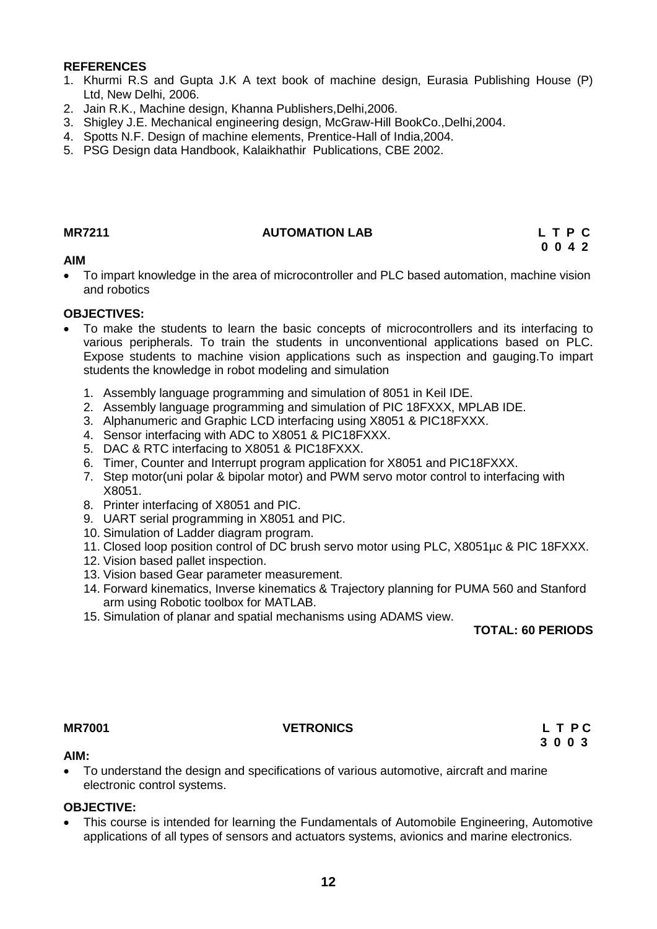#### **REFERENCES**

- 1. Khurmi R.S and Gupta J.K A text book of machine design, Eurasia Publishing House (P) Ltd, New Delhi, 2006.
- 2. Jain R.K., Machine design, Khanna Publishers,Delhi,2006.
- 3. Shigley J.E. Mechanical engineering design, McGraw-Hill BookCo.,Delhi,2004.
- 4. Spotts N.F. Design of machine elements, Prentice-Hall of India,2004.
- 5. PSG Design data Handbook, Kalaikhathir Publications, CBE 2002.

### **MR7211 AUTOMATION LAB L T P C**

 **0 0 4 2**

### **AIM**

 To impart knowledge in the area of microcontroller and PLC based automation, machine vision and robotics

#### **OBJECTIVES:**

- To make the students to learn the basic concepts of microcontrollers and its interfacing to various peripherals. To train the students in unconventional applications based on PLC. Expose students to machine vision applications such as inspection and gauging.To impart students the knowledge in robot modeling and simulation
	- 1. Assembly language programming and simulation of 8051 in Keil IDE.
	- 2. Assembly language programming and simulation of PIC 18FXXX, MPLAB IDE.
	- 3. Alphanumeric and Graphic LCD interfacing using X8051 & PIC18FXXX.
	- 4. Sensor interfacing with ADC to X8051 & PIC18FXXX.
	- 5. DAC & RTC interfacing to X8051 & PIC18FXXX.
	- 6. Timer, Counter and Interrupt program application for X8051 and PIC18FXXX.
	- 7. Step motor(uni polar & bipolar motor) and PWM servo motor control to interfacing with X8051.
	- 8. Printer interfacing of X8051 and PIC.
	- 9. UART serial programming in X8051 and PIC.
	- 10. Simulation of Ladder diagram program.
	- 11. Closed loop position control of DC brush servo motor using PLC, X8051µc & PIC 18FXXX.
	- 12. Vision based pallet inspection.
	- 13. Vision based Gear parameter measurement.
	- 14. Forward kinematics, Inverse kinematics & Trajectory planning for PUMA 560 and Stanford arm using Robotic toolbox for MATLAB.
	- 15. Simulation of planar and spatial mechanisms using ADAMS view.

**TOTAL: 60 PERIODS**

### **MR7001 VETRONICS L T P C**

**3 0 0 3**

#### **AIM:**

 To understand the design and specifications of various automotive, aircraft and marine electronic control systems.

#### **OBJECTIVE:**

 This course is intended for learning the Fundamentals of Automobile Engineering, Automotive applications of all types of sensors and actuators systems, avionics and marine electronics.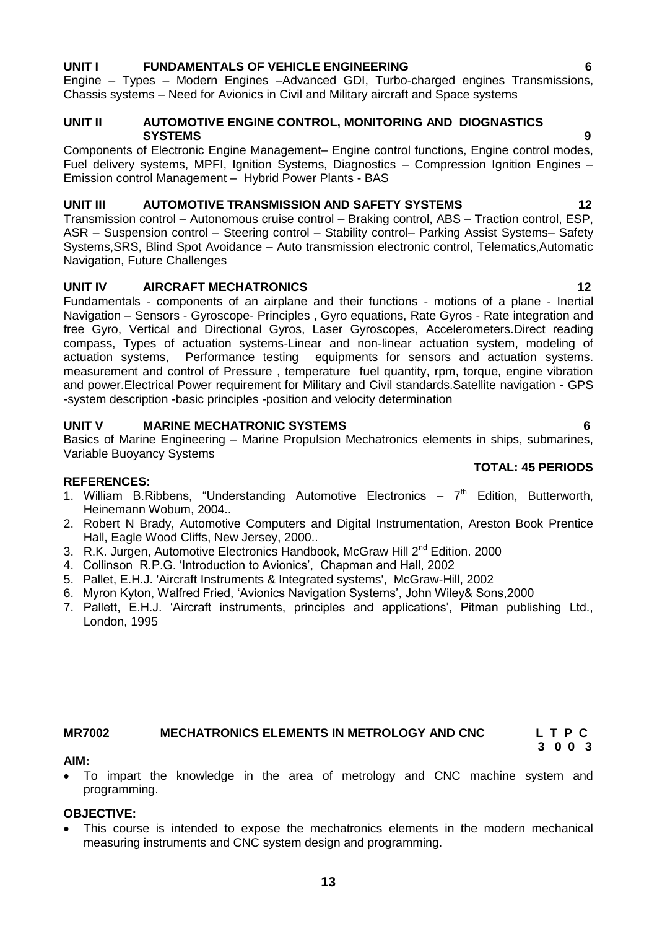# **UNIT I FUNDAMENTALS OF VEHICLE ENGINEERING 6**

Engine – Types – Modern Engines –Advanced GDI, Turbo-charged engines Transmissions, Chassis systems – Need for Avionics in Civil and Military aircraft and Space systems

#### **UNIT II AUTOMOTIVE ENGINE CONTROL, MONITORING AND DIOGNASTICS SYSTEMS** 9

Components of Electronic Engine Management– Engine control functions, Engine control modes, Fuel delivery systems, MPFI, Ignition Systems, Diagnostics – Compression Ignition Engines – Emission control Management – Hybrid Power Plants - BAS

#### **UNIT III AUTOMOTIVE TRANSMISSION AND SAFETY SYSTEMS 12**

Transmission control – Autonomous cruise control – Braking control, ABS – Traction control, ESP, ASR – Suspension control – Steering control – Stability control– Parking Assist Systems– Safety Systems,SRS, Blind Spot Avoidance – Auto transmission electronic control, Telematics,Automatic Navigation, Future Challenges

### **UNIT IV AIRCRAFT MECHATRONICS** 12

Fundamentals - components of an airplane and their functions - motions of a plane - Inertial Navigation – Sensors - Gyroscope- Principles , Gyro equations, Rate Gyros - Rate integration and free Gyro, Vertical and Directional Gyros, Laser Gyroscopes, Accelerometers.Direct reading compass, Types of actuation systems-Linear and non-linear actuation system, modeling of actuation systems, Performance testing equipments for sensors and actuation systems. measurement and control of Pressure , temperature fuel quantity, rpm, torque, engine vibration and power.Electrical Power requirement for Military and Civil standards.Satellite navigation - GPS -system description -basic principles -position and velocity determination

### **UNIT V MARINE MECHATRONIC SYSTEMS 6**

Basics of Marine Engineering – Marine Propulsion Mechatronics elements in ships, submarines, Variable Buoyancy Systems

#### **REFERENCES:**

- 1. William B. Ribbens, "Understanding Automotive Electronics  $-7<sup>th</sup>$  Edition, Butterworth, Heinemann Wobum, 2004..
- 2. Robert N Brady, Automotive Computers and Digital Instrumentation, Areston Book Prentice Hall, Eagle Wood Cliffs, New Jersey, 2000..
- 3. R.K. Jurgen, Automotive Electronics Handbook, McGraw Hill 2<sup>nd</sup> Edition, 2000
- 4. Collinson R.P.G. 'Introduction to Avionics', Chapman and Hall, 2002
- 5. Pallet, E.H.J. 'Aircraft Instruments & Integrated systems', McGraw-Hill, 2002
- 6. Myron Kyton, Walfred Fried, 'Avionics Navigation Systems', John Wiley& Sons,2000
- 7. Pallett, E.H.J. 'Aircraft instruments, principles and applications', Pitman publishing Ltd., London, 1995

#### **MR7002 MECHATRONICS ELEMENTS IN METROLOGY AND CNC L T P C 3 0 0 3**

#### **AIM:**

 To impart the knowledge in the area of metrology and CNC machine system and programming.

#### **OBJECTIVE:**

 This course is intended to expose the mechatronics elements in the modern mechanical measuring instruments and CNC system design and programming.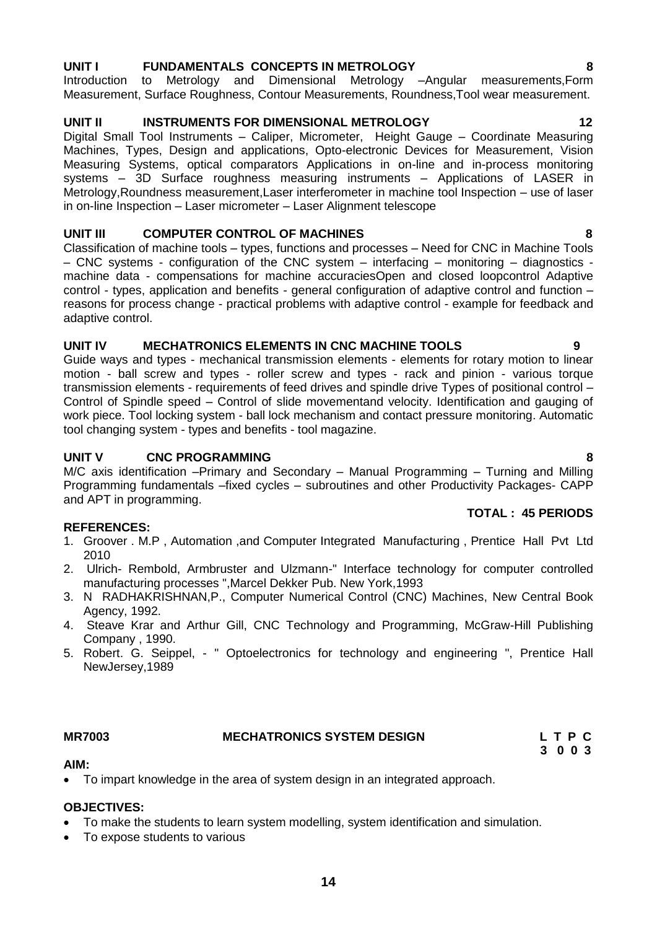# **UNIT I FUNDAMENTALS CONCEPTS IN METROLOGY 8**

Introduction to Metrology and Dimensional Metrology –Angular measurements,Form Measurement, Surface Roughness, Contour Measurements, Roundness,Tool wear measurement.

# **UNIT II INSTRUMENTS FOR DIMENSIONAL METROLOGY 42**

Digital Small Tool Instruments – Caliper, Micrometer, Height Gauge – Coordinate Measuring Machines, Types, Design and applications, Opto-electronic Devices for Measurement, Vision Measuring Systems, optical comparators Applications in on-line and in-process monitoring systems – 3D Surface roughness measuring instruments – Applications of LASER in Metrology,Roundness measurement,Laser interferometer in machine tool Inspection – use of laser in on-line Inspection – Laser micrometer – Laser Alignment telescope

# **UNIT III COMPUTER CONTROL OF MACHINES 8**

Classification of machine tools – types, functions and processes – Need for CNC in Machine Tools – CNC systems - configuration of the CNC system – interfacing – monitoring – diagnostics machine data - compensations for machine accuraciesOpen and closed loopcontrol Adaptive control - types, application and benefits - general configuration of adaptive control and function – reasons for process change - practical problems with adaptive control - example for feedback and adaptive control.

# **UNIT IV MECHATRONICS ELEMENTS IN CNC MACHINE TOOLS 9**

Guide ways and types - mechanical transmission elements - elements for rotary motion to linear motion - ball screw and types - roller screw and types - rack and pinion - various torque transmission elements - requirements of feed drives and spindle drive Types of positional control – Control of Spindle speed – Control of slide movementand velocity. Identification and gauging of work piece. Tool locking system - ball lock mechanism and contact pressure monitoring. Automatic tool changing system - types and benefits - tool magazine.

# **UNIT V CNC PROGRAMMING 8**

M/C axis identification –Primary and Secondary – Manual Programming – Turning and Milling Programming fundamentals –fixed cycles – subroutines and other Productivity Packages- CAPP and APT in programming. **TOTAL : 45 PERIODS**

# **REFERENCES:**

- 1. Groover . M.P , Automation ,and Computer Integrated Manufacturing , Prentice Hall Pvt Ltd 2010
- 2. Ulrich- Rembold, Armbruster and Ulzmann-" Interface technology for computer controlled manufacturing processes ",Marcel Dekker Pub. New York,1993
- 3. N RADHAKRISHNAN,P., Computer Numerical Control (CNC) Machines, New Central Book Agency, 1992.
- 4. Steave Krar and Arthur Gill, CNC Technology and Programming, McGraw-Hill Publishing Company , 1990.
- 5. Robert. G. Seippel, " Optoelectronics for technology and engineering ", Prentice Hall NewJersey,1989

### **MR7003 MECHATRONICS SYSTEM DESIGN L T P C**

 **3 0 0 3** 

### **AIM:**

To impart knowledge in the area of system design in an integrated approach.

# **OBJECTIVES:**

- To make the students to learn system modelling, system identification and simulation.
- To expose students to various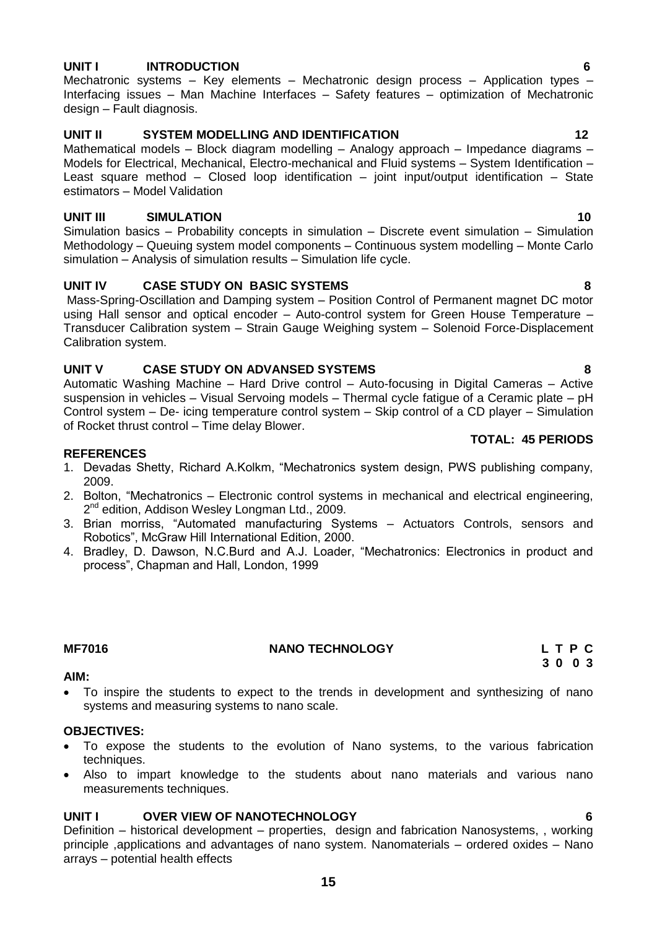#### **UNIT I INTRODUCTION 6**

Mechatronic systems – Key elements – Mechatronic design process – Application types – Interfacing issues – Man Machine Interfaces – Safety features – optimization of Mechatronic design – Fault diagnosis.

#### **UNIT II SYSTEM MODELLING AND IDENTIFICATION 12**

Mathematical models – Block diagram modelling – Analogy approach – Impedance diagrams – Models for Electrical, Mechanical, Electro-mechanical and Fluid systems – System Identification – Least square method – Closed loop identification – joint input/output identification – State estimators – Model Validation

#### **UNIT III** SIMULATION 10

Simulation basics – Probability concepts in simulation – Discrete event simulation – Simulation Methodology – Queuing system model components – Continuous system modelling – Monte Carlo simulation – Analysis of simulation results – Simulation life cycle.

#### **UNIT IV CASE STUDY ON BASIC SYSTEMS 8**

Mass-Spring-Oscillation and Damping system – Position Control of Permanent magnet DC motor using Hall sensor and optical encoder – Auto-control system for Green House Temperature – Transducer Calibration system – Strain Gauge Weighing system – Solenoid Force-Displacement Calibration system.

#### **UNIT V CASE STUDY ON ADVANSED SYSTEMS 8**

Automatic Washing Machine – Hard Drive control – Auto-focusing in Digital Cameras – Active suspension in vehicles – Visual Servoing models – Thermal cycle fatigue of a Ceramic plate – pH Control system – De- icing temperature control system – Skip control of a CD player – Simulation of Rocket thrust control – Time delay Blower.

#### **REFERENCES**

- 1. Devadas Shetty, Richard A.Kolkm, "Mechatronics system design, PWS publishing company, 2009.
- 2. Bolton, "Mechatronics Electronic control systems in mechanical and electrical engineering, 2<sup>nd</sup> edition, Addison Wesley Longman Ltd., 2009.
- 3. Brian morriss, "Automated manufacturing Systems Actuators Controls, sensors and Robotics", McGraw Hill International Edition, 2000.
- 4. Bradley, D. Dawson, N.C.Burd and A.J. Loader, "Mechatronics: Electronics in product and process", Chapman and Hall, London, 1999

#### **MF7016 NANO TECHNOLOGY L T P C**

### **AIM:**

 To inspire the students to expect to the trends in development and synthesizing of nano systems and measuring systems to nano scale.

#### **OBJECTIVES:**

- To expose the students to the evolution of Nano systems, to the various fabrication techniques.
- Also to impart knowledge to the students about nano materials and various nano measurements techniques.

#### **UNIT I OVER VIEW OF NANOTECHNOLOGY 6**

Definition – historical development – properties, design and fabrication Nanosystems, , working principle ,applications and advantages of nano system. Nanomaterials – ordered oxides – Nano arrays – potential health effects

**TOTAL: 45 PERIODS**

# **3 0 0 3**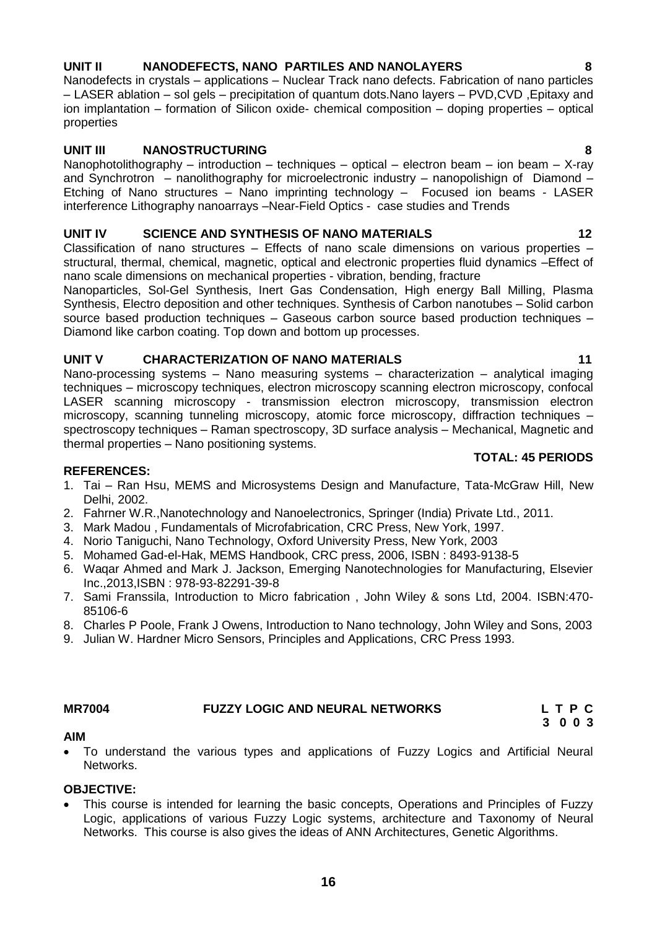# **UNIT II NANODEFECTS, NANO PARTILES AND NANOLAYERS 8**

Nanodefects in crystals – applications – Nuclear Track nano defects. Fabrication of nano particles – LASER ablation – sol gels – precipitation of quantum dots.Nano layers – PVD,CVD ,Epitaxy and ion implantation – formation of Silicon oxide- chemical composition – doping properties – optical properties

# **UNIT III NANOSTRUCTURING 8**

Nanophotolithography – introduction – techniques – optical – electron beam – ion beam – X-ray and Synchrotron – nanolithography for microelectronic industry – nanopolishign of Diamond – Etching of Nano structures – Nano imprinting technology – Focused ion beams - LASER interference Lithography nanoarrays –Near-Field Optics - case studies and Trends

# **UNIT IV SCIENCE AND SYNTHESIS OF NANO MATERIALS 12**

Classification of nano structures – Effects of nano scale dimensions on various properties – structural, thermal, chemical, magnetic, optical and electronic properties fluid dynamics –Effect of nano scale dimensions on mechanical properties - vibration, bending, fracture

Nanoparticles, Sol-Gel Synthesis, Inert Gas Condensation, High energy Ball Milling, Plasma Synthesis, Electro deposition and other techniques. Synthesis of Carbon nanotubes – Solid carbon source based production techniques – Gaseous carbon source based production techniques – Diamond like carbon coating. Top down and bottom up processes.

## **UNIT V CHARACTERIZATION OF NANO MATERIALS 11**

Nano-processing systems – Nano measuring systems – characterization – analytical imaging techniques – microscopy techniques, electron microscopy scanning electron microscopy, confocal LASER scanning microscopy - transmission electron microscopy, transmission electron microscopy, scanning tunneling microscopy, atomic force microscopy, diffraction techniques – spectroscopy techniques – Raman spectroscopy, 3D surface analysis – Mechanical, Magnetic and thermal properties – Nano positioning systems.

### **TOTAL: 45 PERIODS**

# **REFERENCES:**

- 1. Tai Ran Hsu, MEMS and Microsystems Design and Manufacture, Tata-McGraw Hill, New Delhi, 2002.
- 2. Fahrner W.R.,Nanotechnology and Nanoelectronics, Springer (India) Private Ltd., 2011.
- 3. Mark Madou , Fundamentals of Microfabrication, CRC Press, New York, 1997.
- 4. Norio Taniguchi, Nano Technology, Oxford University Press, New York, 2003
- 5. Mohamed Gad-el-Hak, MEMS Handbook, CRC press, 2006, ISBN : 8493-9138-5
- 6. Waqar Ahmed and Mark J. Jackson, Emerging Nanotechnologies for Manufacturing, Elsevier Inc.,2013,ISBN : 978-93-82291-39-8
- 7. Sami Franssila, Introduction to Micro fabrication , John Wiley & sons Ltd, 2004. ISBN:470- 85106-6
- 8. Charles P Poole, Frank J Owens, Introduction to Nano technology, John Wiley and Sons, 2003
- 9. Julian W. Hardner Micro Sensors, Principles and Applications, CRC Press 1993.

#### **MR7004 FUZZY LOGIC AND NEURAL NETWORKS L T P C**

 **3 0 0 3**

### **AIM**

 To understand the various types and applications of Fuzzy Logics and Artificial Neural Networks.

#### **OBJECTIVE:**

 This course is intended for learning the basic concepts, Operations and Principles of Fuzzy Logic, applications of various Fuzzy Logic systems, architecture and Taxonomy of Neural Networks. This course is also gives the ideas of ANN Architectures, Genetic Algorithms.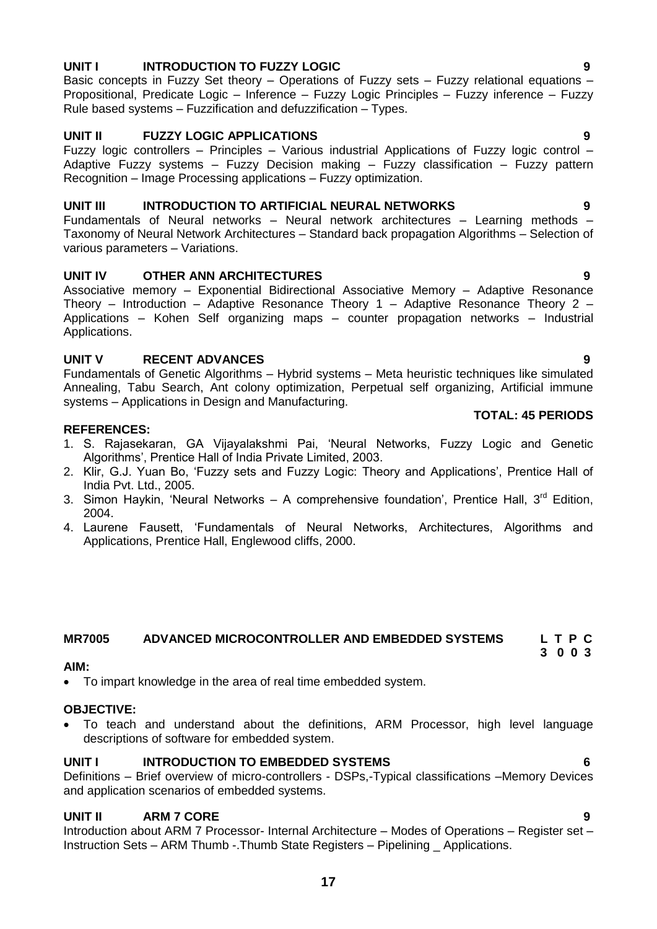# **17**

# **UNIT I INTRODUCTION TO FUZZY LOGIC 9**

Basic concepts in Fuzzy Set theory – Operations of Fuzzy sets – Fuzzy relational equations – Propositional, Predicate Logic – Inference – Fuzzy Logic Principles – Fuzzy inference – Fuzzy Rule based systems – Fuzzification and defuzzification – Types.

### **UNIT II FUZZY LOGIC APPLICATIONS 9**

Fuzzy logic controllers – Principles – Various industrial Applications of Fuzzy logic control – Adaptive Fuzzy systems – Fuzzy Decision making – Fuzzy classification – Fuzzy pattern Recognition – Image Processing applications – Fuzzy optimization.

### **UNIT III INTRODUCTION TO ARTIFICIAL NEURAL NETWORKS 9**

Fundamentals of Neural networks – Neural network architectures – Learning methods – Taxonomy of Neural Network Architectures – Standard back propagation Algorithms – Selection of various parameters – Variations.

## **UNIT IV OTHER ANN ARCHITECTURES 9**

Associative memory – Exponential Bidirectional Associative Memory – Adaptive Resonance Theory – Introduction – Adaptive Resonance Theory 1 – Adaptive Resonance Theory 2 – Applications – Kohen Self organizing maps – counter propagation networks – Industrial Applications.

## **UNIT V RECENT ADVANCES 9**

Fundamentals of Genetic Algorithms – Hybrid systems – Meta heuristic techniques like simulated Annealing, Tabu Search, Ant colony optimization, Perpetual self organizing, Artificial immune systems – Applications in Design and Manufacturing.

#### **REFERENCES:**

- 1. S. Rajasekaran, GA Vijayalakshmi Pai, 'Neural Networks, Fuzzy Logic and Genetic Algorithms', Prentice Hall of India Private Limited, 2003.
- 2. Klir, G.J. Yuan Bo, 'Fuzzy sets and Fuzzy Logic: Theory and Applications', Prentice Hall of India Pvt. Ltd., 2005.
- 3. Simon Haykin, 'Neural Networks A comprehensive foundation', Prentice Hall, 3<sup>rd</sup> Edition, 2004.
- 4. Laurene Fausett, 'Fundamentals of Neural Networks, Architectures, Algorithms and Applications, Prentice Hall, Englewood cliffs, 2000.

#### **MR7005 ADVANCED MICROCONTROLLER AND EMBEDDED SYSTEMS L T P C 3 0 0 3**

#### **AIM:**

To impart knowledge in the area of real time embedded system.

### **OBJECTIVE:**

 To teach and understand about the definitions, ARM Processor, high level language descriptions of software for embedded system.

### **UNIT I INTRODUCTION TO EMBEDDED SYSTEMS 6**

Definitions – Brief overview of micro-controllers - DSPs,-Typical classifications –Memory Devices and application scenarios of embedded systems.

### **UNIT II ARM 7 CORE 9**

Introduction about ARM 7 Processor- Internal Architecture – Modes of Operations – Register set – Instruction Sets – ARM Thumb -.Thumb State Registers – Pipelining \_ Applications.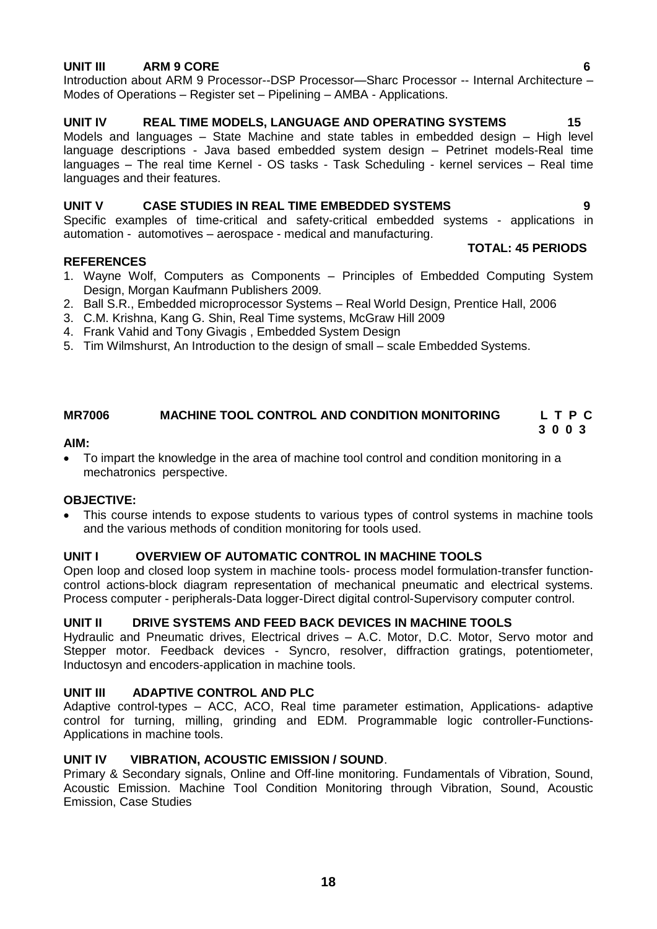#### **UNIT III ARM 9 CORE 6**

Introduction about ARM 9 Processor--DSP Processor—Sharc Processor -- Internal Architecture – Modes of Operations – Register set – Pipelining – AMBA - Applications.

### UNIT IV **REAL TIME MODELS, LANGUAGE AND OPERATING SYSTEMS** 15

Models and languages – State Machine and state tables in embedded design – High level language descriptions - Java based embedded system design – Petrinet models-Real time languages – The real time Kernel - OS tasks - Task Scheduling - kernel services – Real time languages and their features.

#### **UNIT V CASE STUDIES IN REAL TIME EMBEDDED SYSTEMS 9**

Specific examples of time-critical and safety-critical embedded systems - applications in automation - automotives – aerospace - medical and manufacturing.

#### **REFERENCES**

#### **TOTAL: 45 PERIODS**

- 1. Wayne Wolf, Computers as Components Principles of Embedded Computing System Design, Morgan Kaufmann Publishers 2009.
- 2. Ball S.R., Embedded microprocessor Systems Real World Design, Prentice Hall, 2006
- 3. C.M. Krishna, Kang G. Shin, Real Time systems, McGraw Hill 2009
- 4. Frank Vahid and Tony Givagis , Embedded System Design
- 5. Tim Wilmshurst, An Introduction to the design of small scale Embedded Systems.

#### **MR7006 MACHINE TOOL CONTROL AND CONDITION MONITORING L T P C 3 0 0 3**

#### **AIM:**

 To impart the knowledge in the area of machine tool control and condition monitoring in a mechatronics perspective.

#### **OBJECTIVE:**

 This course intends to expose students to various types of control systems in machine tools and the various methods of condition monitoring for tools used.

#### **UNIT I OVERVIEW OF AUTOMATIC CONTROL IN MACHINE TOOLS**

Open loop and closed loop system in machine tools- process model formulation-transfer functioncontrol actions-block diagram representation of mechanical pneumatic and electrical systems. Process computer - peripherals-Data logger-Direct digital control-Supervisory computer control.

#### **UNIT II DRIVE SYSTEMS AND FEED BACK DEVICES IN MACHINE TOOLS**

Hydraulic and Pneumatic drives, Electrical drives – A.C. Motor, D.C. Motor, Servo motor and Stepper motor. Feedback devices - Syncro, resolver, diffraction gratings, potentiometer, Inductosyn and encoders-application in machine tools.

### **UNIT III ADAPTIVE CONTROL AND PLC**

Adaptive control-types – ACC, ACO, Real time parameter estimation, Applications- adaptive control for turning, milling, grinding and EDM. Programmable logic controller-Functions-Applications in machine tools.

#### **UNIT IV VIBRATION, ACOUSTIC EMISSION / SOUND**.

Primary & Secondary signals, Online and Off-line monitoring. Fundamentals of Vibration, Sound, Acoustic Emission. Machine Tool Condition Monitoring through Vibration, Sound, Acoustic Emission, Case Studies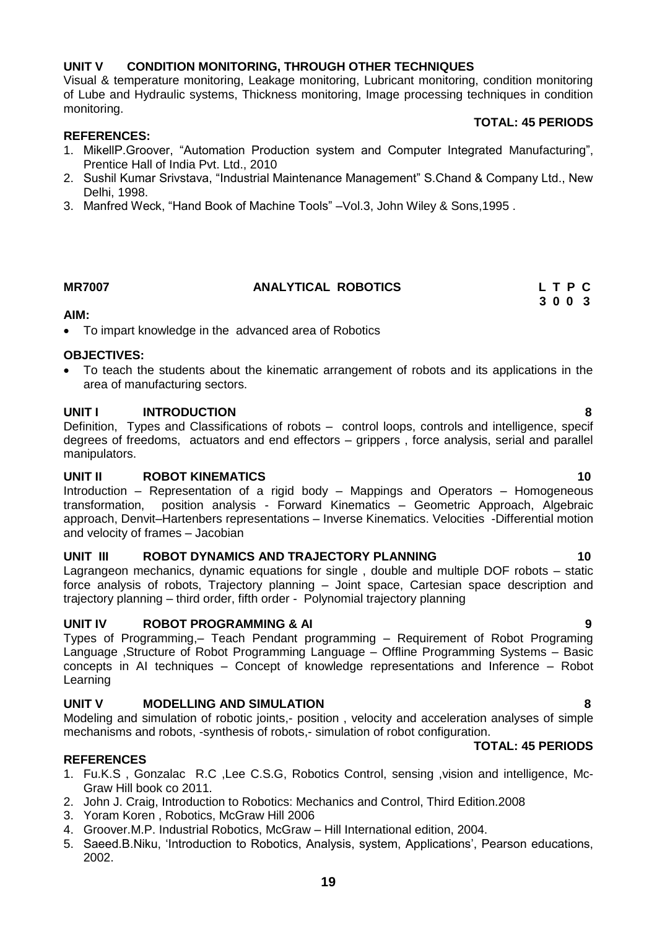### **UNIT V CONDITION MONITORING, THROUGH OTHER TECHNIQUES**

Visual & temperature monitoring, Leakage monitoring, Lubricant monitoring, condition monitoring of Lube and Hydraulic systems, Thickness monitoring, Image processing techniques in condition monitoring.

#### **TOTAL: 45 PERIODS**

#### **REFERENCES:**

- 1. MikellP.Groover, "Automation Production system and Computer Integrated Manufacturing", Prentice Hall of India Pvt. Ltd., 2010
- 2. Sushil Kumar Srivstava, "Industrial Maintenance Management" S.Chand & Company Ltd., New Delhi, 1998.
- 3. Manfred Weck, "Hand Book of Machine Tools" –Vol.3, John Wiley & Sons,1995 .

### **MR7007 ANALYTICAL ROBOTICS L T P C**

 **3 0 0 3**

#### **AIM:**

To impart knowledge in the advanced area of Robotics

#### **OBJECTIVES:**

 To teach the students about the kinematic arrangement of robots and its applications in the area of manufacturing sectors.

#### **UNIT I INTRODUCTION 8**

Definition, Types and Classifications of robots – control loops, controls and intelligence, specif degrees of freedoms, actuators and end effectors – grippers , force analysis, serial and parallel manipulators.

### **UNIT II ROBOT KINEMATICS 10**

Introduction – Representation of a rigid body – Mappings and Operators – Homogeneous transformation, position analysis - Forward Kinematics – Geometric Approach, Algebraic approach, Denvit–Hartenbers representations – Inverse Kinematics. Velocities -Differential motion and velocity of frames – Jacobian

#### **UNIT III ROBOT DYNAMICS AND TRAJECTORY PLANNING 10**

Lagrangeon mechanics, dynamic equations for single , double and multiple DOF robots – static force analysis of robots, Trajectory planning – Joint space, Cartesian space description and trajectory planning – third order, fifth order - Polynomial trajectory planning

#### **UNIT IV ROBOT PROGRAMMING & AI 9**

Types of Programming,– Teach Pendant programming – Requirement of Robot Programing Language ,Structure of Robot Programming Language – Offline Programming Systems – Basic concepts in AI techniques – Concept of knowledge representations and Inference – Robot Learning

### **UNIT V MODELLING AND SIMULATION 8**

Modeling and simulation of robotic joints,- position , velocity and acceleration analyses of simple mechanisms and robots, -synthesis of robots,- simulation of robot configuration.

#### **TOTAL: 45 PERIODS**

#### **REFERENCES**

- 1. Fu.K.S , Gonzalac R.C ,Lee C.S.G, Robotics Control, sensing ,vision and intelligence, Mc-Graw Hill book co 2011.
- 2. John J. Craig, Introduction to Robotics: Mechanics and Control, Third Edition.2008
- 3. Yoram Koren , Robotics, McGraw Hill 2006
- 4. Groover.M.P. Industrial Robotics, McGraw Hill International edition, 2004.
- 5. Saeed.B.Niku, 'Introduction to Robotics, Analysis, system, Applications', Pearson educations, 2002.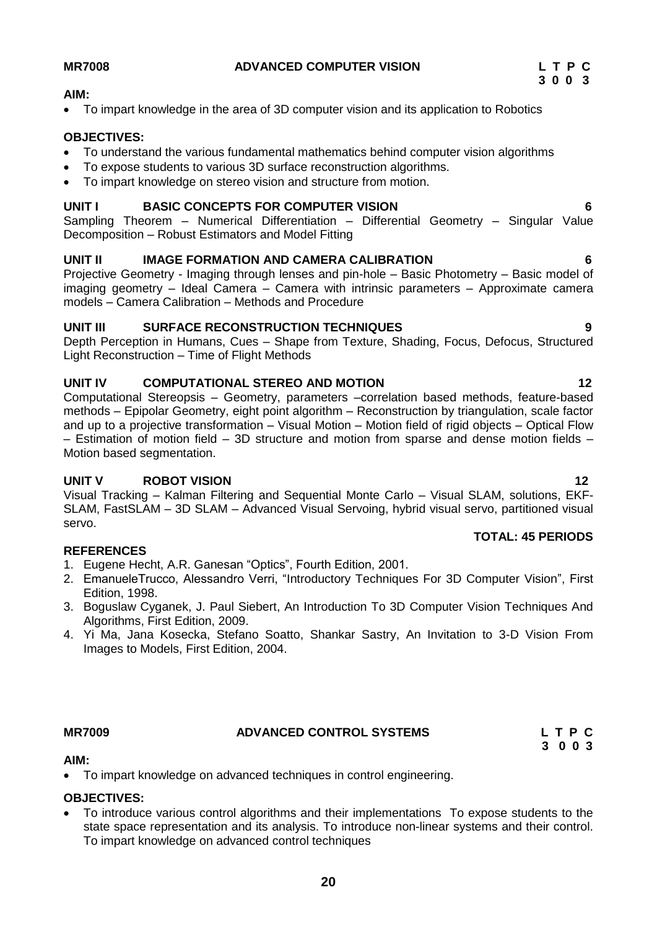#### **AIM:**

To impart knowledge in the area of 3D computer vision and its application to Robotics

#### **OBJECTIVES:**

- To understand the various fundamental mathematics behind computer vision algorithms
- To expose students to various 3D surface reconstruction algorithms.
- To impart knowledge on stereo vision and structure from motion.

#### **UNIT I BASIC CONCEPTS FOR COMPUTER VISION 6**

Sampling Theorem – Numerical Differentiation – Differential Geometry – Singular Value Decomposition – Robust Estimators and Model Fitting

#### **UNIT II IMAGE FORMATION AND CAMERA CALIBRATION 6**

Projective Geometry - Imaging through lenses and pin-hole – Basic Photometry – Basic model of imaging geometry – Ideal Camera – Camera with intrinsic parameters – Approximate camera models – Camera Calibration – Methods and Procedure

#### **UNIT III SURFACE RECONSTRUCTION TECHNIQUES 9**

Depth Perception in Humans, Cues – Shape from Texture, Shading, Focus, Defocus, Structured Light Reconstruction – Time of Flight Methods

#### **UNIT IV COMPUTATIONAL STEREO AND MOTION 12**

Computational Stereopsis – Geometry, parameters –correlation based methods, feature-based methods – Epipolar Geometry, eight point algorithm – Reconstruction by triangulation, scale factor and up to a projective transformation – Visual Motion – Motion field of rigid objects – Optical Flow – Estimation of motion field – 3D structure and motion from sparse and dense motion fields – Motion based segmentation.

### **UNIT V ROBOT VISION 12**

Visual Tracking – Kalman Filtering and Sequential Monte Carlo – Visual SLAM, solutions, EKF-SLAM, FastSLAM – 3D SLAM – Advanced Visual Servoing, hybrid visual servo, partitioned visual servo.

### **REFERENCES**

- 1. Eugene Hecht, A.R. Ganesan "Optics", Fourth Edition, 2001.
- 2. EmanueleTrucco, Alessandro Verri, "Introductory Techniques For 3D Computer Vision", First Edition, 1998.
- 3. Boguslaw Cyganek, J. Paul Siebert, An Introduction To 3D Computer Vision Techniques And Algorithms, First Edition, 2009.
- 4. Yi Ma, Jana Kosecka, Stefano Soatto, Shankar Sastry, An Invitation to 3-D Vision From Images to Models, First Edition, 2004.

#### **MR7009 ADVANCED CONTROL SYSTEMS**

|  | LTPC |  |
|--|------|--|
|  | 3003 |  |

#### **AIM:**

To impart knowledge on advanced techniques in control engineering.

# **OBJECTIVES:**

 To introduce various control algorithms and their implementations To expose students to the state space representation and its analysis. To introduce non-linear systems and their control. To impart knowledge on advanced control techniques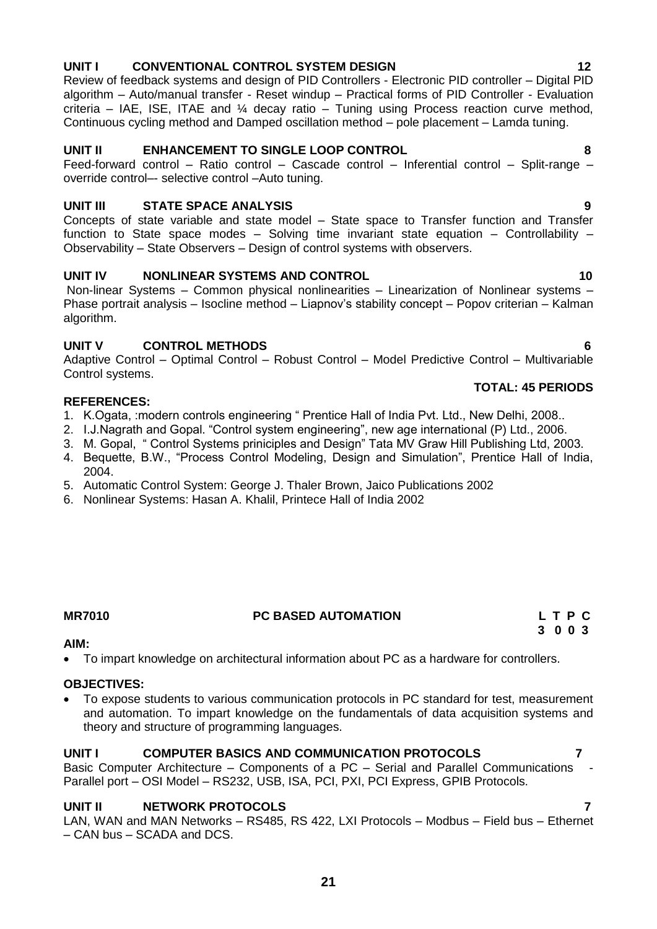# **UNIT I CONVENTIONAL CONTROL SYSTEM DESIGN 12**

Review of feedback systems and design of PID Controllers - Electronic PID controller – Digital PID algorithm – Auto/manual transfer - Reset windup – Practical forms of PID Controller - Evaluation criteria – IAE, ISE, ITAE and  $\frac{1}{4}$  decay ratio – Tuning using Process reaction curve method, Continuous cycling method and Damped oscillation method – pole placement – Lamda tuning.

#### **UNIT II ENHANCEMENT TO SINGLE LOOP CONTROL 8**

Feed-forward control – Ratio control – Cascade control – Inferential control – Split-range – override control–- selective control –Auto tuning.

#### **UNIT III STATE SPACE ANALYSIS 9**

Concepts of state variable and state model – State space to Transfer function and Transfer function to State space modes – Solving time invariant state equation – Controllability – Observability – State Observers – Design of control systems with observers.

#### **UNIT IV NONLINEAR SYSTEMS AND CONTROL 10**

Non-linear Systems – Common physical nonlinearities – Linearization of Nonlinear systems – Phase portrait analysis – Isocline method – Liapnov's stability concept – Popov criterian – Kalman algorithm.

#### **UNIT V CONTROL METHODS 6**

Adaptive Control – Optimal Control – Robust Control – Model Predictive Control – Multivariable Control systems.

#### **REFERENCES:**

- 1. K.Ogata, :modern controls engineering " Prentice Hall of India Pvt. Ltd., New Delhi, 2008..
- 2. I.J.Nagrath and Gopal. "Control system engineering", new age international (P) Ltd., 2006.
- 3. M. Gopal, " Control Systems priniciples and Design" Tata MV Graw Hill Publishing Ltd, 2003.
- 4. Bequette, B.W., "Process Control Modeling, Design and Simulation", Prentice Hall of India, 2004.
- 5. Automatic Control System: George J. Thaler Brown, Jaico Publications 2002
- 6. Nonlinear Systems: Hasan A. Khalil, Printece Hall of India 2002

# **MR7010 PC BASED AUTOMATION**

#### **AIM:**

To impart knowledge on architectural information about PC as a hardware for controllers.

#### **OBJECTIVES:**

 To expose students to various communication protocols in PC standard for test, measurement and automation. To impart knowledge on the fundamentals of data acquisition systems and theory and structure of programming languages.

#### **UNIT I COMPUTER BASICS AND COMMUNICATION PROTOCOLS 7**

Basic Computer Architecture – Components of a PC – Serial and Parallel Communications - Parallel port – OSI Model – RS232, USB, ISA, PCI, PXI, PCI Express, GPIB Protocols.

#### **UNIT II NETWORK PROTOCOLS 7**

LAN, WAN and MAN Networks – RS485, RS 422, LXI Protocols – Modbus – Field bus – Ethernet – CAN bus – SCADA and DCS.

$$
\begin{array}{c}\nL T P C \\
3 0 0 3\n\end{array}
$$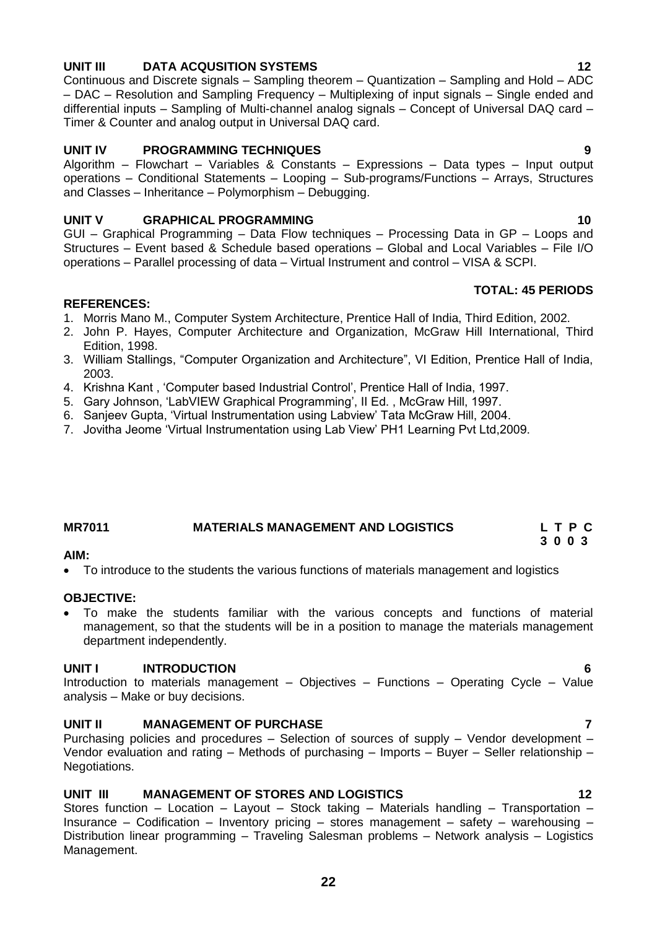# **UNIT III DATA ACQUSITION SYSTEMS 12**

Continuous and Discrete signals – Sampling theorem – Quantization – Sampling and Hold – ADC – DAC – Resolution and Sampling Frequency – Multiplexing of input signals – Single ended and differential inputs – Sampling of Multi-channel analog signals – Concept of Universal DAQ card – Timer & Counter and analog output in Universal DAQ card.

### **UNIT IV PROGRAMMING TECHNIQUES 9**

Algorithm – Flowchart – Variables & Constants – Expressions – Data types – Input output operations – Conditional Statements – Looping – Sub-programs/Functions – Arrays, Structures and Classes – Inheritance – Polymorphism – Debugging.

#### **UNIT V GRAPHICAL PROGRAMMING 10** 10

GUI – Graphical Programming – Data Flow techniques – Processing Data in GP – Loops and Structures – Event based & Schedule based operations – Global and Local Variables – File I/O operations – Parallel processing of data – Virtual Instrument and control – VISA & SCPI.

#### **REFERENCES:**

- 1. Morris Mano M., Computer System Architecture, Prentice Hall of India, Third Edition, 2002.
- 2. John P. Hayes, Computer Architecture and Organization, McGraw Hill International, Third Edition, 1998.
- 3. William Stallings, "Computer Organization and Architecture", VI Edition, Prentice Hall of India, 2003.
- 4. Krishna Kant , 'Computer based Industrial Control', Prentice Hall of India, 1997.
- 5. Gary Johnson, 'LabVIEW Graphical Programming', II Ed. , McGraw Hill, 1997.
- 6. Sanjeev Gupta, 'Virtual Instrumentation using Labview' Tata McGraw Hill, 2004.
- <span id="page-21-0"></span>7. Jovitha Jeome 'Virtual Instrumentation using Lab View' PH1 Learning Pvt Ltd,2009.

### **MR7011 MATERIALS MANAGEMENT AND LOGISTICS L T P C**

#### **AIM:**

To introduce to the students the various functions of materials management and logistics

#### **OBJECTIVE:**

 To make the students familiar with the various concepts and functions of material management, so that the students will be in a position to manage the materials management department independently.

#### **UNIT I INTRODUCTION 6**

Introduction to materials management – Objectives – Functions – Operating Cycle – Value analysis – Make or buy decisions.

#### **UNIT II MANAGEMENT OF PURCHASE 7**

Purchasing policies and procedures – Selection of sources of supply – Vendor development – Vendor evaluation and rating – Methods of purchasing – Imports – Buyer – Seller relationship – Negotiations.

### **UNIT III MANAGEMENT OF STORES AND LOGISTICS 12**

Stores function – Location – Layout – Stock taking – Materials handling – Transportation – Insurance – Codification – Inventory pricing – stores management – safety – warehousing – Distribution linear programming – Traveling Salesman problems – Network analysis – Logistics Management.

**TOTAL: 45 PERIODS**

**3 0 0 3**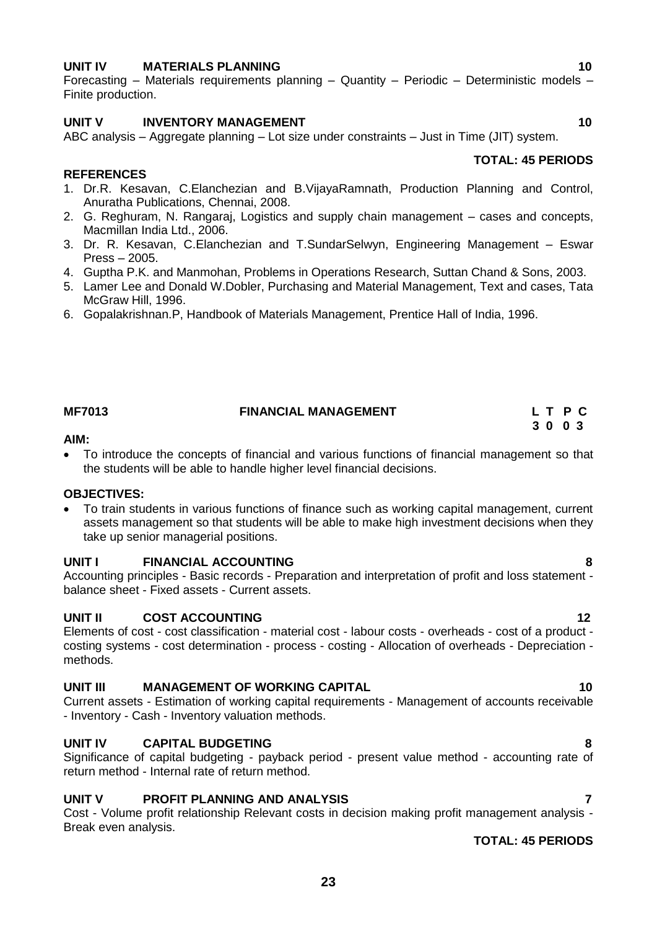### **UNIT IV MATERIALS PLANNING 10**

Forecasting – Materials requirements planning – Quantity – Periodic – Deterministic models – Finite production.

#### **UNIT V INVENTORY MANAGEMENT** 10

ABC analysis – Aggregate planning – Lot size under constraints – Just in Time (JIT) system.

#### **REFERENCES**

- 1. Dr.R. Kesavan, C.Elanchezian and B.VijayaRamnath, Production Planning and Control, Anuratha Publications, Chennai, 2008.
- 2. G. Reghuram, N. Rangaraj, Logistics and supply chain management cases and concepts, Macmillan India Ltd., 2006.
- 3. Dr. R. Kesavan, C.Elanchezian and T.SundarSelwyn, Engineering Management Eswar Press – 2005.
- 4. Guptha P.K. and Manmohan, Problems in Operations Research, Suttan Chand & Sons, 2003.
- 5. Lamer Lee and Donald W.Dobler, Purchasing and Material Management, Text and cases, Tata McGraw Hill, 1996.
- 6. Gopalakrishnan.P, Handbook of Materials Management, Prentice Hall of India, 1996.

#### **MF7013 FINANCIAL MANAGEMENT L T P C 3 0 0 3**

#### **AIM:**

 To introduce the concepts of financial and various functions of financial management so that the students will be able to handle higher level financial decisions.

#### **OBJECTIVES:**

 To train students in various functions of finance such as working capital management, current assets management so that students will be able to make high investment decisions when they take up senior managerial positions.

#### **UNIT I FINANCIAL ACCOUNTING 8**

Accounting principles - Basic records - Preparation and interpretation of profit and loss statement balance sheet - Fixed assets - Current assets.

#### **UNIT II COST ACCOUNTING 12**

Elements of cost - cost classification - material cost - labour costs - overheads - cost of a product costing systems - cost determination - process - costing - Allocation of overheads - Depreciation methods.

#### **UNIT III** MANAGEMENT OF WORKING CAPITAL **10**

Current assets - Estimation of working capital requirements - Management of accounts receivable - Inventory - Cash - Inventory valuation methods.

#### **UNIT IV CAPITAL BUDGETING 8**

Significance of capital budgeting - payback period - present value method - accounting rate of return method - Internal rate of return method.

#### **UNIT V PROFIT PLANNING AND ANALYSIS 7**

Cost - Volume profit relationship Relevant costs in decision making profit management analysis - Break even analysis.

#### **TOTAL: 45 PERIODS**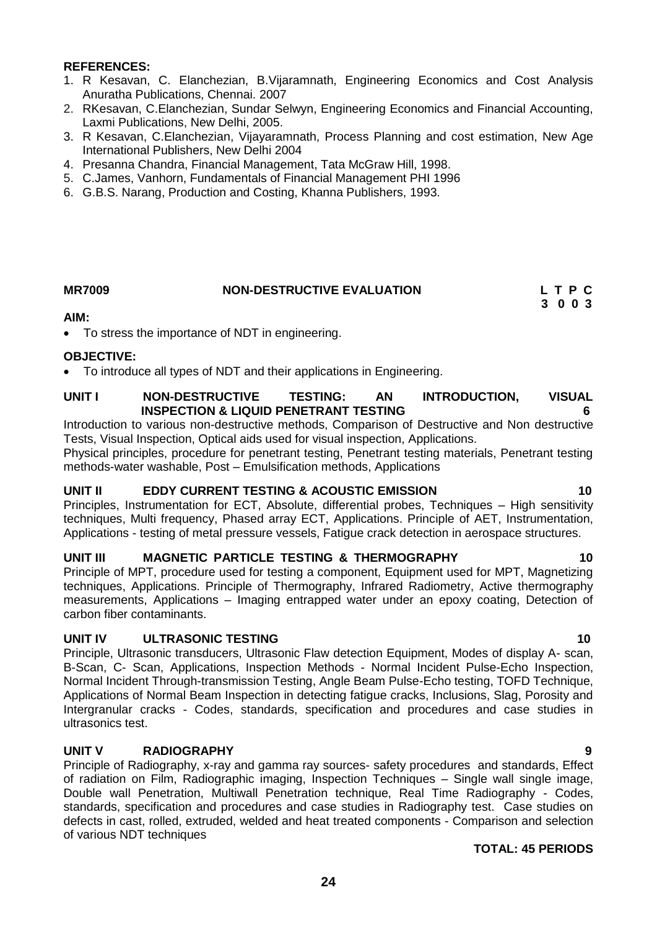#### **REFERENCES:**

- 1. R Kesavan, C. Elanchezian, B.Vijaramnath, Engineering Economics and Cost Analysis Anuratha Publications, Chennai. 2007
- 2. RKesavan, C.Elanchezian, Sundar Selwyn, Engineering Economics and Financial Accounting, Laxmi Publications, New Delhi, 2005.
- 3. R Kesavan, C.Elanchezian, Vijayaramnath, Process Planning and cost estimation, New Age International Publishers, New Delhi 2004
- 4. Presanna Chandra, Financial Management, Tata McGraw Hill, 1998.
- 5. C.James, Vanhorn, Fundamentals of Financial Management PHI 1996
- 6. G.B.S. Narang, Production and Costing, Khanna Publishers, 1993.

# **MR7009 NON-DESTRUCTIVE EVALUATION L T P C**

 **3 0 0 3**

#### **AIM:**

To stress the importance of NDT in engineering.

#### **OBJECTIVE:**

To introduce all types of NDT and their applications in Engineering.

#### **UNIT I NON-DESTRUCTIVE TESTING: AN INTRODUCTION, VISUAL INSPECTION & LIQUID PENETRANT TESTING 6**

Introduction to various non-destructive methods, Comparison of Destructive and Non destructive Tests, Visual Inspection, Optical aids used for visual inspection, Applications.

Physical principles, procedure for penetrant testing, Penetrant testing materials, Penetrant testing methods-water washable, Post – Emulsification methods, Applications

#### **UNIT II EDDY CURRENT TESTING & ACOUSTIC EMISSION 10**

Principles, Instrumentation for ECT, Absolute, differential probes, Techniques – High sensitivity techniques, Multi frequency, Phased array ECT, Applications. Principle of AET, Instrumentation, Applications - testing of metal pressure vessels, Fatigue crack detection in aerospace structures.

#### **UNIT III MAGNETIC PARTICLE TESTING & THERMOGRAPHY 10**

Principle of MPT, procedure used for testing a component, Equipment used for MPT, Magnetizing techniques, Applications. Principle of Thermography, Infrared Radiometry, Active thermography measurements, Applications – Imaging entrapped water under an epoxy coating, Detection of carbon fiber contaminants.

#### **UNIT IV ULTRASONIC TESTING 10**

Principle, Ultrasonic transducers, Ultrasonic Flaw detection Equipment, Modes of display A- scan, B-Scan, C- Scan, Applications, Inspection Methods - Normal Incident Pulse-Echo Inspection, Normal Incident Through-transmission Testing, Angle Beam Pulse-Echo testing, TOFD Technique, Applications of Normal Beam Inspection in detecting fatigue cracks, Inclusions, Slag, Porosity and Intergranular cracks - Codes, standards, specification and procedures and case studies in ultrasonics test.

### **UNIT V RADIOGRAPHY 9**

Principle of Radiography, x-ray and gamma ray sources- safety procedures and standards, Effect of radiation on Film, Radiographic imaging, Inspection Techniques – Single wall single image, Double wall Penetration, Multiwall Penetration technique, Real Time Radiography - Codes, standards, specification and procedures and case studies in Radiography test. Case studies on defects in cast, rolled, extruded, welded and heat treated components - Comparison and selection of various NDT techniques